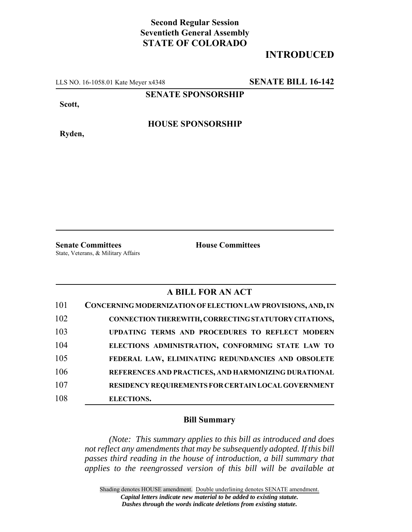### **Second Regular Session Seventieth General Assembly STATE OF COLORADO**

### **INTRODUCED**

LLS NO. 16-1058.01 Kate Meyer x4348 **SENATE BILL 16-142**

**SENATE SPONSORSHIP**

**Scott,**

**Ryden,**

**HOUSE SPONSORSHIP**

**Senate Committees House Committees** State, Veterans, & Military Affairs

### **A BILL FOR AN ACT**

| 101 | CONCERNING MODERNIZATION OF ELECTION LAW PROVISIONS, AND, IN |
|-----|--------------------------------------------------------------|
| 102 | CONNECTION THEREWITH, CORRECTING STATUTORY CITATIONS,        |
| 103 | UPDATING TERMS AND PROCEDURES TO REFLECT MODERN              |
| 104 | ELECTIONS ADMINISTRATION, CONFORMING STATE LAW TO            |
| 105 | FEDERAL LAW, ELIMINATING REDUNDANCIES AND OBSOLETE           |
| 106 | REFERENCES AND PRACTICES, AND HARMONIZING DURATIONAL         |
| 107 | <b>RESIDENCY REQUIREMENTS FOR CERTAIN LOCAL GOVERNMENT</b>   |
| 108 | <b>ELECTIONS.</b>                                            |

### **Bill Summary**

*(Note: This summary applies to this bill as introduced and does not reflect any amendments that may be subsequently adopted. If this bill passes third reading in the house of introduction, a bill summary that applies to the reengrossed version of this bill will be available at*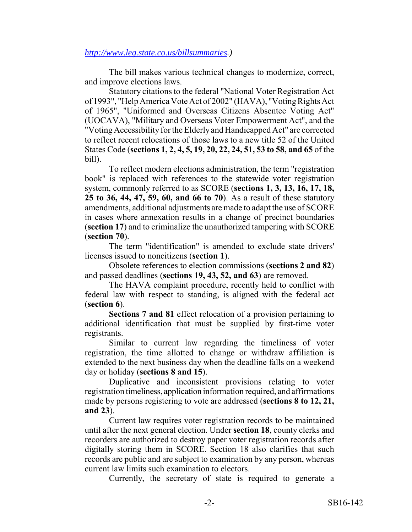### *http://www.leg.state.co.us/billsummaries.)*

The bill makes various technical changes to modernize, correct, and improve elections laws.

Statutory citations to the federal "National Voter Registration Act of 1993", "Help America Vote Act of 2002" (HAVA), "Voting Rights Act of 1965", "Uniformed and Overseas Citizens Absentee Voting Act" (UOCAVA), "Military and Overseas Voter Empowerment Act", and the "Voting Accessibility for the Elderly and Handicapped Act" are corrected to reflect recent relocations of those laws to a new title 52 of the United States Code (**sections 1, 2, 4, 5, 19, 20, 22, 24, 51, 53 to 58, and 65** of the bill).

To reflect modern elections administration, the term "registration book" is replaced with references to the statewide voter registration system, commonly referred to as SCORE (**sections 1, 3, 13, 16, 17, 18, 25 to 36, 44, 47, 59, 60, and 66 to 70**). As a result of these statutory amendments, additional adjustments are made to adapt the use of SCORE in cases where annexation results in a change of precinct boundaries (**section 17**) and to criminalize the unauthorized tampering with SCORE (**section 70**).

The term "identification" is amended to exclude state drivers' licenses issued to noncitizens (**section 1**).

Obsolete references to election commissions (**sections 2 and 82**) and passed deadlines (**sections 19, 43, 52, and 63**) are removed.

The HAVA complaint procedure, recently held to conflict with federal law with respect to standing, is aligned with the federal act (**section 6**).

**Sections 7 and 81** effect relocation of a provision pertaining to additional identification that must be supplied by first-time voter registrants.

Similar to current law regarding the timeliness of voter registration, the time allotted to change or withdraw affiliation is extended to the next business day when the deadline falls on a weekend day or holiday (**sections 8 and 15**).

Duplicative and inconsistent provisions relating to voter registration timeliness, application information required, and affirmations made by persons registering to vote are addressed (**sections 8 to 12, 21, and 23**).

Current law requires voter registration records to be maintained until after the next general election. Under **section 18**, county clerks and recorders are authorized to destroy paper voter registration records after digitally storing them in SCORE. Section 18 also clarifies that such records are public and are subject to examination by any person, whereas current law limits such examination to electors.

Currently, the secretary of state is required to generate a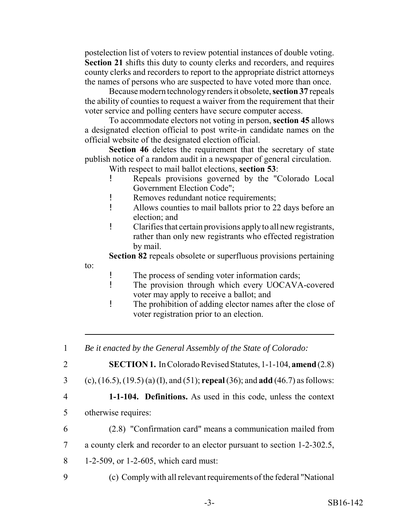postelection list of voters to review potential instances of double voting. **Section 21** shifts this duty to county clerks and recorders, and requires county clerks and recorders to report to the appropriate district attorneys the names of persons who are suspected to have voted more than once.

Because modern technology renders it obsolete, **section 37** repeals the ability of counties to request a waiver from the requirement that their voter service and polling centers have secure computer access.

To accommodate electors not voting in person, **section 45** allows a designated election official to post write-in candidate names on the official website of the designated election official.

**Section 46** deletes the requirement that the secretary of state publish notice of a random audit in a newspaper of general circulation.

With respect to mail ballot elections, **section 53**:

- ! Repeals provisions governed by the "Colorado Local Government Election Code";
- ! Removes redundant notice requirements;
- ! Allows counties to mail ballots prior to 22 days before an election; and
- ! Clarifies that certain provisions apply to all new registrants, rather than only new registrants who effected registration by mail.

**Section 82** repeals obsolete or superfluous provisions pertaining

to:

- ! The process of sending voter information cards;
- ! The provision through which every UOCAVA-covered voter may apply to receive a ballot; and
- ! The prohibition of adding elector names after the close of voter registration prior to an election.

1 *Be it enacted by the General Assembly of the State of Colorado:*

2 **SECTION 1.** In Colorado Revised Statutes, 1-1-104, **amend** (2.8)

- 3 (c), (16.5), (19.5) (a) (I), and (51); **repeal** (36); and **add** (46.7) as follows:
- 

4 **1-1-104. Definitions.** As used in this code, unless the context

- 5 otherwise requires:
- 6 (2.8) "Confirmation card" means a communication mailed from
- 7 a county clerk and recorder to an elector pursuant to section 1-2-302.5,
- 8 1-2-509, or 1-2-605, which card must:
- 9 (c) Comply with all relevant requirements of the federal "National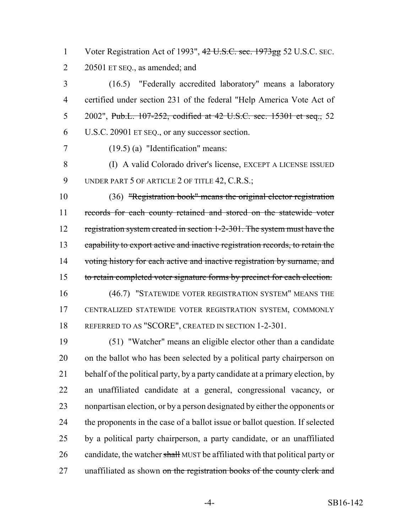1 Voter Registration Act of 1993", 42 U.S.C. sec. 1973gg 52 U.S.C. SEC. 2 20501 ET SEQ., as amended; and

 (16.5) "Federally accredited laboratory" means a laboratory certified under section 231 of the federal "Help America Vote Act of 5 2002", Pub.L. 107-252, codified at 42 U.S.C. sec. 15301 et seq., 52 U.S.C. 20901 ET SEQ., or any successor section.

(19.5) (a) "Identification" means:

 (I) A valid Colorado driver's license, EXCEPT A LICENSE ISSUED 9 UNDER PART 5 OF ARTICLE 2 OF TITLE 42, C.R.S.;

 (36) "Registration book" means the original elector registration records for each county retained and stored on the statewide voter 12 registration system created in section 1-2-301. The system must have the capability to export active and inactive registration records, to retain the 14 voting history for each active and inactive registration by surname, and 15 to retain completed voter signature forms by precinct for each election. (46.7) "STATEWIDE VOTER REGISTRATION SYSTEM" MEANS THE CENTRALIZED STATEWIDE VOTER REGISTRATION SYSTEM, COMMONLY

REFERRED TO AS "SCORE", CREATED IN SECTION 1-2-301.

 (51) "Watcher" means an eligible elector other than a candidate on the ballot who has been selected by a political party chairperson on 21 behalf of the political party, by a party candidate at a primary election, by an unaffiliated candidate at a general, congressional vacancy, or nonpartisan election, or by a person designated by either the opponents or the proponents in the case of a ballot issue or ballot question. If selected by a political party chairperson, a party candidate, or an unaffiliated 26 candidate, the watcher shall MUST be affiliated with that political party or 27 unaffiliated as shown on the registration books of the county clerk and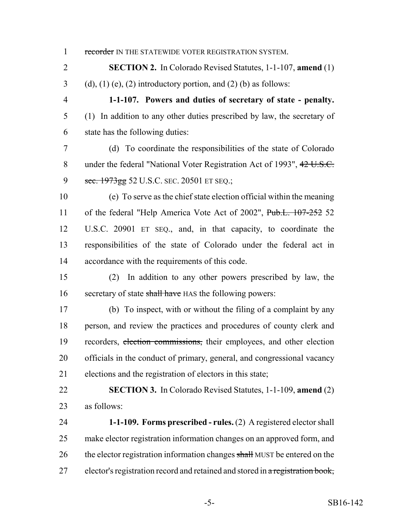1 recorder IN THE STATEWIDE VOTER REGISTRATION SYSTEM.

 **SECTION 2.** In Colorado Revised Statutes, 1-1-107, **amend** (1) 3 (d), (1) (e), (2) introductory portion, and (2) (b) as follows:

 **1-1-107. Powers and duties of secretary of state - penalty.** (1) In addition to any other duties prescribed by law, the secretary of state has the following duties:

 (d) To coordinate the responsibilities of the state of Colorado 8 under the federal "National Voter Registration Act of 1993", 42 U.S.C. 9 sec. 1973gg 52 U.S.C. SEC. 20501 ET SEQ.;

 (e) To serve as the chief state election official within the meaning 11 of the federal "Help America Vote Act of 2002", Pub.L. 107-252 52 U.S.C. 20901 ET SEQ., and, in that capacity, to coordinate the responsibilities of the state of Colorado under the federal act in accordance with the requirements of this code.

 (2) In addition to any other powers prescribed by law, the 16 secretary of state shall have HAS the following powers:

 (b) To inspect, with or without the filing of a complaint by any person, and review the practices and procedures of county clerk and recorders, election commissions, their employees, and other election officials in the conduct of primary, general, and congressional vacancy elections and the registration of electors in this state;

 **SECTION 3.** In Colorado Revised Statutes, 1-1-109, **amend** (2) as follows:

 **1-1-109. Forms prescribed - rules.** (2) A registered elector shall make elector registration information changes on an approved form, and 26 the elector registration information changes shall MUST be entered on the 27 elector's registration record and retained and stored in a registration book,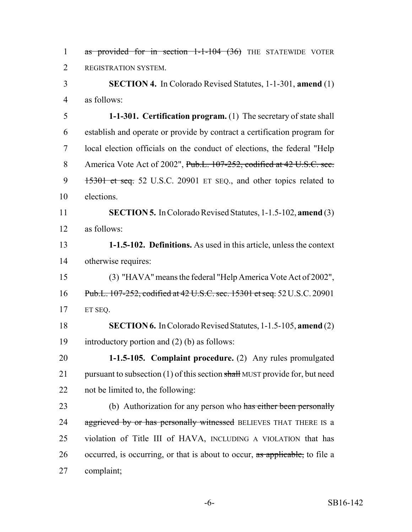1 as provided for in section 1-1-104 (36) THE STATEWIDE VOTER REGISTRATION SYSTEM.

 **SECTION 4.** In Colorado Revised Statutes, 1-1-301, **amend** (1) as follows:

 **1-1-301. Certification program.** (1) The secretary of state shall establish and operate or provide by contract a certification program for local election officials on the conduct of elections, the federal "Help 8 America Vote Act of 2002", Pub.L. 107-252, codified at 42 U.S.C. sec. 9 15301 et seq. 52 U.S.C. 20901 ET SEQ., and other topics related to elections.

 **SECTION 5.** In Colorado Revised Statutes, 1-1.5-102, **amend** (3) as follows:

 **1-1.5-102. Definitions.** As used in this article, unless the context otherwise requires:

 (3) "HAVA" means the federal "Help America Vote Act of 2002", Pub.L. 107-252, codified at 42 U.S.C. sec. 15301 et seq. 52U.S.C. 20901 ET SEQ.

 **SECTION 6.** In Colorado Revised Statutes, 1-1.5-105, **amend** (2) introductory portion and (2) (b) as follows:

 **1-1.5-105. Complaint procedure.** (2) Any rules promulgated 21 pursuant to subsection (1) of this section shall MUST provide for, but need not be limited to, the following:

23 (b) Authorization for any person who has either been personally 24 aggrieved by or has personally witnessed BELIEVES THAT THERE IS a violation of Title III of HAVA, INCLUDING A VIOLATION that has 26 occurred, is occurring, or that is about to occur, as applicable, to file a complaint;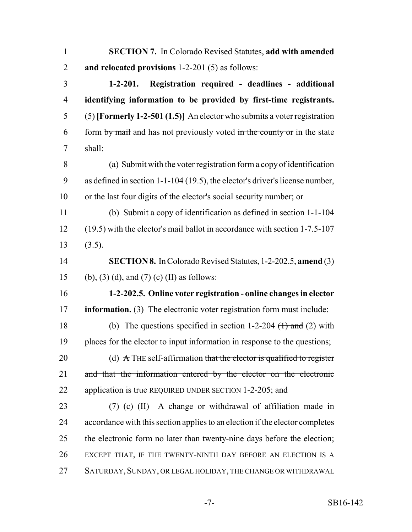| $\mathbf{1}$   | <b>SECTION 7.</b> In Colorado Revised Statutes, add with amended                        |
|----------------|-----------------------------------------------------------------------------------------|
| $\overline{2}$ | and relocated provisions 1-2-201 (5) as follows:                                        |
| 3              | Registration required - deadlines - additional<br>$1 - 2 - 201.$                        |
| $\overline{4}$ | identifying information to be provided by first-time registrants.                       |
| 5              | $(5)$ [Formerly 1-2-501 (1.5)] An elector who submits a voter registration              |
| 6              | form by mail and has not previously voted in the county or in the state                 |
| 7              | shall:                                                                                  |
| 8              | (a) Submit with the voter registration form a copy of identification                    |
| 9              | as defined in section 1-1-104 (19.5), the elector's driver's license number,            |
| 10             | or the last four digits of the elector's social security number; or                     |
| 11             | (b) Submit a copy of identification as defined in section 1-1-104                       |
| 12             | (19.5) with the elector's mail ballot in accordance with section 1-7.5-107              |
| 13             | (3.5).                                                                                  |
| 14             | <b>SECTION 8.</b> In Colorado Revised Statutes, 1-2-202.5, amend (3)                    |
| 15             | (b), (3) (d), and (7) (c) (II) as follows:                                              |
| 16             | 1-2-202.5. Online voter registration - online changes in elector                        |
| 17             | information. (3) The electronic voter registration form must include:                   |
| 18             | (b) The questions specified in section 1-2-204 $(1)$ and (2) with                       |
| 19             | places for the elector to input information in response to the questions;               |
| 20             | (d) $\overrightarrow{A}$ THE self-affirmation that the elector is qualified to register |
| 21             | and that the information entered by the elector on the electronic                       |
| 22             | application is true REQUIRED UNDER SECTION 1-2-205; and                                 |
| 23             | (7) (c) (II) A change or withdrawal of affiliation made in                              |
| 24             | accordance with this section applies to an election if the elector completes            |
| 25             | the electronic form no later than twenty-nine days before the election;                 |
| 26             | EXCEPT THAT, IF THE TWENTY-NINTH DAY BEFORE AN ELECTION IS A                            |
| 27             | SATURDAY, SUNDAY, OR LEGAL HOLIDAY, THE CHANGE OR WITHDRAWAL                            |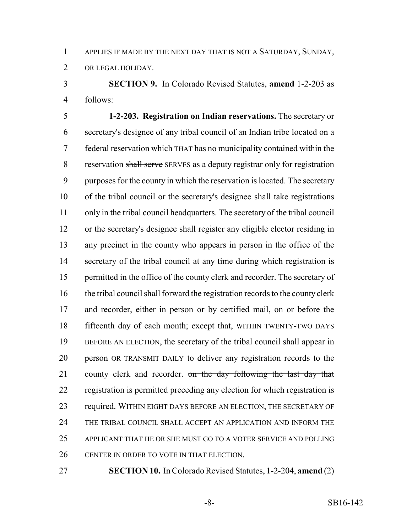APPLIES IF MADE BY THE NEXT DAY THAT IS NOT A SATURDAY, SUNDAY,

OR LEGAL HOLIDAY.

 **SECTION 9.** In Colorado Revised Statutes, **amend** 1-2-203 as follows:

 **1-2-203. Registration on Indian reservations.** The secretary or secretary's designee of any tribal council of an Indian tribe located on a 7 federal reservation which THAT has no municipality contained within the 8 reservation shall serve SERVES as a deputy registrar only for registration purposes for the county in which the reservation is located. The secretary of the tribal council or the secretary's designee shall take registrations only in the tribal council headquarters. The secretary of the tribal council or the secretary's designee shall register any eligible elector residing in any precinct in the county who appears in person in the office of the secretary of the tribal council at any time during which registration is permitted in the office of the county clerk and recorder. The secretary of the tribal council shall forward the registration records to the county clerk and recorder, either in person or by certified mail, on or before the fifteenth day of each month; except that, WITHIN TWENTY-TWO DAYS BEFORE AN ELECTION, the secretary of the tribal council shall appear in person OR TRANSMIT DAILY to deliver any registration records to the 21 county clerk and recorder. on the day following the last day that registration is permitted preceding any election for which registration is 23 required. WITHIN EIGHT DAYS BEFORE AN ELECTION, THE SECRETARY OF THE TRIBAL COUNCIL SHALL ACCEPT AN APPLICATION AND INFORM THE APPLICANT THAT HE OR SHE MUST GO TO A VOTER SERVICE AND POLLING CENTER IN ORDER TO VOTE IN THAT ELECTION.

**SECTION 10.** In Colorado Revised Statutes, 1-2-204, **amend** (2)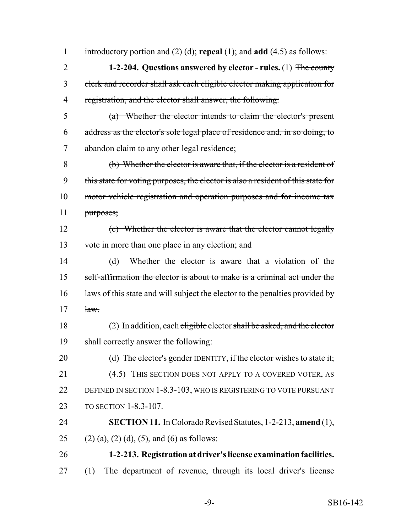introductory portion and (2) (d); **repeal** (1); and **add** (4.5) as follows: **1-2-204. Questions answered by elector - rules.** (1) The county clerk and recorder shall ask each eligible elector making application for registration, and the elector shall answer, the following: (a) Whether the elector intends to claim the elector's present address as the elector's sole legal place of residence and, in so doing, to abandon claim to any other legal residence; (b) Whether the elector is aware that, if the elector is a resident of this state for voting purposes, the elector is also a resident of this state for motor vehicle registration and operation purposes and for income tax purposes; (c) Whether the elector is aware that the elector cannot legally vote in more than one place in any election; and (d) Whether the elector is aware that a violation of the 15 self-affirmation the elector is about to make is a criminal act under the 16 laws of this state and will subject the elector to the penalties provided by  $\frac{1}{2}$ 18 (2) In addition, each eligible elector shall be asked, and the elector shall correctly answer the following: 20 (d) The elector's gender IDENTITY, if the elector wishes to state it; (4.5) THIS SECTION DOES NOT APPLY TO A COVERED VOTER, AS DEFINED IN SECTION 1-8.3-103, WHO IS REGISTERING TO VOTE PURSUANT TO SECTION 1-8.3-107. **SECTION 11.** In Colorado Revised Statutes, 1-2-213, **amend** (1), 25 (2) (a), (2) (d), (5), and (6) as follows: **1-2-213. Registration at driver's license examination facilities.** (1) The department of revenue, through its local driver's license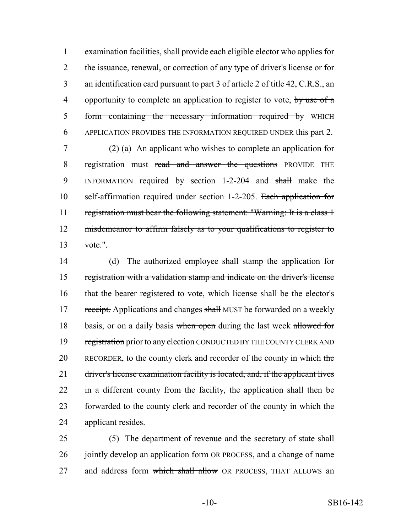examination facilities, shall provide each eligible elector who applies for the issuance, renewal, or correction of any type of driver's license or for an identification card pursuant to part 3 of article 2 of title 42, C.R.S., an 4 opportunity to complete an application to register to vote, by use of a 5 form containing the necessary information required by WHICH APPLICATION PROVIDES THE INFORMATION REQUIRED UNDER this part 2.

7 (2) (a) An applicant who wishes to complete an application for 8 registration must read and answer the questions PROVIDE THE 9 INFORMATION required by section 1-2-204 and shall make the 10 self-affirmation required under section 1-2-205. Each application for 11 registration must bear the following statement: "Warning: It is a class 1 12 misdemeanor to affirm falsely as to your qualifications to register to  $13$  vote."

14 (d) The authorized employee shall stamp the application for 15 registration with a validation stamp and indicate on the driver's license 16 that the bearer registered to vote, which license shall be the elector's 17 receipt. Applications and changes shall MUST be forwarded on a weekly 18 basis, or on a daily basis when open during the last week allowed for 19 registration prior to any election CONDUCTED BY THE COUNTY CLERK AND 20 RECORDER, to the county clerk and recorder of the county in which the 21 driver's license examination facility is located, and, if the applicant lives 22 in a different county from the facility, the application shall then be 23 forwarded to the county clerk and recorder of the county in which the 24 applicant resides.

25 (5) The department of revenue and the secretary of state shall 26 jointly develop an application form OR PROCESS, and a change of name 27 and address form which shall allow OR PROCESS, THAT ALLOWS an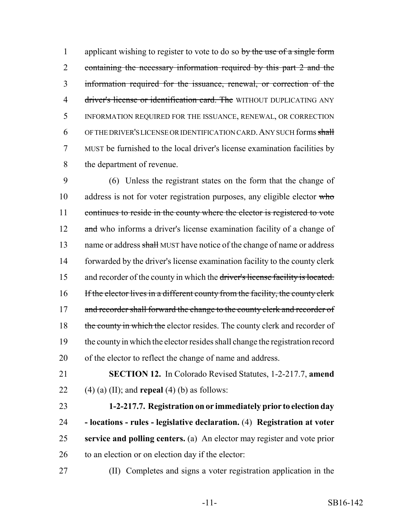1 applicant wishing to register to vote to do so by the use of a single form 2 containing the necessary information required by this part 2 and the 3 information required for the issuance, renewal, or correction of the 4 driver's license or identification card. The WITHOUT DUPLICATING ANY 5 INFORMATION REQUIRED FOR THE ISSUANCE, RENEWAL, OR CORRECTION 6 OF THE DRIVER'S LICENSE OR IDENTIFICATION CARD. ANY SUCH forms shall 7 MUST be furnished to the local driver's license examination facilities by 8 the department of revenue.

9 (6) Unless the registrant states on the form that the change of 10 address is not for voter registration purposes, any eligible elector who 11 continues to reside in the county where the elector is registered to vote 12 and who informs a driver's license examination facility of a change of 13 name or address shall MUST have notice of the change of name or address 14 forwarded by the driver's license examination facility to the county clerk 15 and recorder of the county in which the driver's license facility is located. 16 If the elector lives in a different county from the facility, the county clerk 17 and recorder shall forward the change to the county clerk and recorder of 18 the county in which the elector resides. The county clerk and recorder of 19 the county in which the elector resides shall change the registration record 20 of the elector to reflect the change of name and address.

21 **SECTION 12.** In Colorado Revised Statutes, 1-2-217.7, **amend** 22 (4) (a) (II); and **repeal** (4) (b) as follows:

 **1-2-217.7. Registration on or immediately prior to election day - locations - rules - legislative declaration.** (4) **Registration at voter service and polling centers.** (a) An elector may register and vote prior 26 to an election or on election day if the elector:

27 (II) Completes and signs a voter registration application in the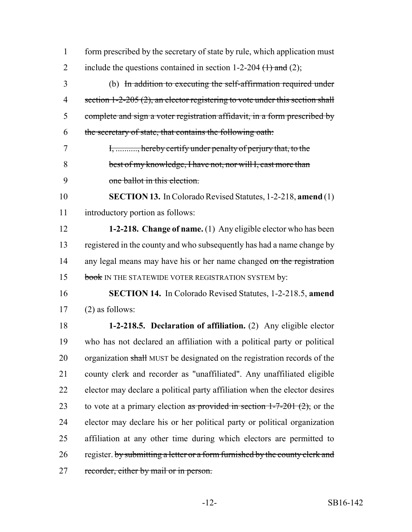form prescribed by the secretary of state by rule, which application must 2 include the questions contained in section 1-2-204  $(1)$  and (2); (b) In addition to executing the self-affirmation required under 4 section 1-2-205 (2), an elector registering to vote under this section shall complete and sign a voter registration affidavit, in a form prescribed by the secretary of state, that contains the following oath: I, .........., hereby certify under penalty of perjury that, to the best of my knowledge, I have not, nor will I, cast more than one ballot in this election. **SECTION 13.** In Colorado Revised Statutes, 1-2-218, **amend** (1) introductory portion as follows: **1-2-218. Change of name.** (1) Any eligible elector who has been registered in the county and who subsequently has had a name change by 14 any legal means may have his or her name changed on the registration 15 book IN THE STATEWIDE VOTER REGISTRATION SYSTEM by: **SECTION 14.** In Colorado Revised Statutes, 1-2-218.5, **amend** (2) as follows: **1-2-218.5. Declaration of affiliation.** (2) Any eligible elector who has not declared an affiliation with a political party or political 20 organization shall MUST be designated on the registration records of the county clerk and recorder as "unaffiliated". Any unaffiliated eligible elector may declare a political party affiliation when the elector desires 23 to vote at a primary election as provided in section  $1-7-201$  (2), or the elector may declare his or her political party or political organization affiliation at any other time during which electors are permitted to 26 register. by submitting a letter or a form furnished by the county clerk and 27 recorder, either by mail or in person.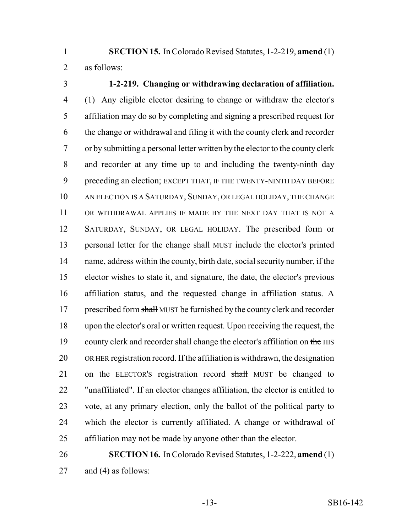**SECTION 15.** In Colorado Revised Statutes, 1-2-219, **amend** (1) as follows:

# **1-2-219. Changing or withdrawing declaration of affiliation.**

 (1) Any eligible elector desiring to change or withdraw the elector's affiliation may do so by completing and signing a prescribed request for the change or withdrawal and filing it with the county clerk and recorder or by submitting a personal letter written by the elector to the county clerk and recorder at any time up to and including the twenty-ninth day preceding an election; EXCEPT THAT, IF THE TWENTY-NINTH DAY BEFORE AN ELECTION IS A SATURDAY, SUNDAY, OR LEGAL HOLIDAY, THE CHANGE OR WITHDRAWAL APPLIES IF MADE BY THE NEXT DAY THAT IS NOT A SATURDAY, SUNDAY, OR LEGAL HOLIDAY. The prescribed form or 13 personal letter for the change shall MUST include the elector's printed name, address within the county, birth date, social security number, if the elector wishes to state it, and signature, the date, the elector's previous affiliation status, and the requested change in affiliation status. A 17 prescribed form shall MUST be furnished by the county clerk and recorder upon the elector's oral or written request. Upon receiving the request, the 19 county clerk and recorder shall change the elector's affiliation on the HIS OR HER registration record. If the affiliation is withdrawn, the designation 21 on the ELECTOR's registration record shall MUST be changed to "unaffiliated". If an elector changes affiliation, the elector is entitled to vote, at any primary election, only the ballot of the political party to which the elector is currently affiliated. A change or withdrawal of affiliation may not be made by anyone other than the elector.

# **SECTION 16.** In Colorado Revised Statutes, 1-2-222, **amend** (1) and (4) as follows: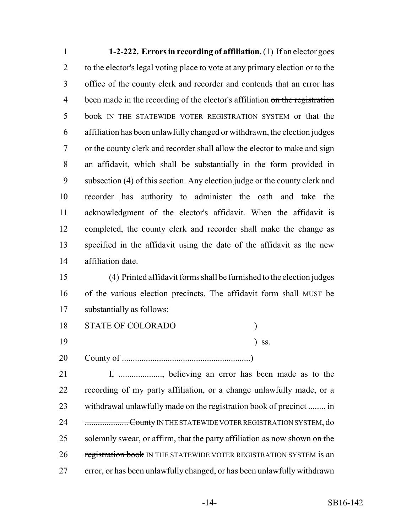**1-2-222. Errors in recording of affiliation.** (1) If an elector goes to the elector's legal voting place to vote at any primary election or to the office of the county clerk and recorder and contends that an error has 4 been made in the recording of the elector's affiliation on the registration 5 book IN THE STATEWIDE VOTER REGISTRATION SYSTEM or that the affiliation has been unlawfully changed or withdrawn, the election judges or the county clerk and recorder shall allow the elector to make and sign an affidavit, which shall be substantially in the form provided in subsection (4) of this section. Any election judge or the county clerk and recorder has authority to administer the oath and take the acknowledgment of the elector's affidavit. When the affidavit is completed, the county clerk and recorder shall make the change as specified in the affidavit using the date of the affidavit as the new affiliation date.

 (4) Printed affidavit forms shall be furnished to the election judges 16 of the various election precincts. The affidavit form shall MUST be substantially as follows:

- 18 STATE OF COLORADO ) 19 ) ss.
- County of ...........................................................)

 I, ...................., believing an error has been made as to the recording of my party affiliation, or a change unlawfully made, or a 23 withdrawal unlawfully made on the registration book of precinct ........ in 24 ............................County IN THE STATEWIDE VOTER REGISTRATION SYSTEM, do 25 solemnly swear, or affirm, that the party affiliation as now shown on the 26 registration book IN THE STATEWIDE VOTER REGISTRATION SYSTEM is an error, or has been unlawfully changed, or has been unlawfully withdrawn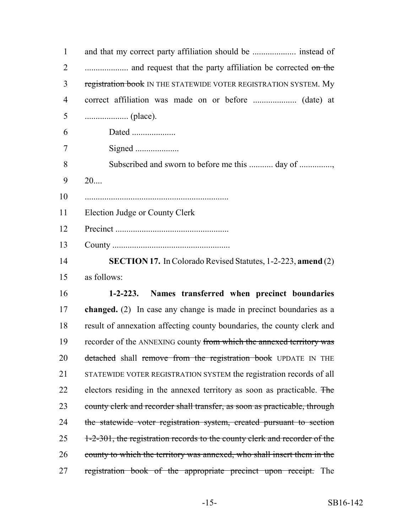| $\mathbf{1}$   | and that my correct party affiliation should be  instead of               |
|----------------|---------------------------------------------------------------------------|
| $\overline{2}$ |                                                                           |
| 3              | registration book IN THE STATEWIDE VOTER REGISTRATION SYSTEM. My          |
| $\overline{4}$ |                                                                           |
| 5              |                                                                           |
| 6              | Dated                                                                     |
| 7              | Signed                                                                    |
| 8              | Subscribed and sworn to before me this  day of                            |
| 9              | 20                                                                        |
| 10             |                                                                           |
| 11             | Election Judge or County Clerk                                            |
| 12             |                                                                           |
| 13             |                                                                           |
| 14             | <b>SECTION 17.</b> In Colorado Revised Statutes, 1-2-223, amend (2)       |
| 15             | as follows:                                                               |
| 16             | 1-2-223. Names transferred when precinct boundaries                       |
| 17             | changed. (2) In case any change is made in precinct boundaries as a       |
| 18             | result of annexation affecting county boundaries, the county clerk and    |
| 19             | recorder of the ANNEXING county from which the annexed territory was      |
| 20             | detached shall remove from the registration book UPDATE IN THE            |
| 21             | STATEWIDE VOTER REGISTRATION SYSTEM the registration records of all       |
| 22             | electors residing in the annexed territory as soon as practicable. The    |
| 23             | county clerk and recorder shall transfer, as soon as practicable, through |
| 24             | the statewide voter registration system, created pursuant to section      |
| 25             | 1-2-301, the registration records to the county clerk and recorder of the |
| 26             | county to which the territory was annexed, who shall insert them in the   |
| 27             | registration book of the appropriate precinct upon receipt. The           |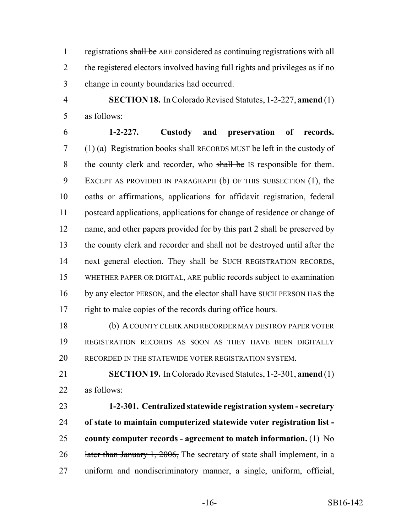1 registrations shall be ARE considered as continuing registrations with all the registered electors involved having full rights and privileges as if no change in county boundaries had occurred.

 **SECTION 18.** In Colorado Revised Statutes, 1-2-227, **amend** (1) as follows:

 **1-2-227. Custody and preservation of records.** 7 (1) (a) Registration books shall RECORDS MUST be left in the custody of 8 the county clerk and recorder, who shall be IS responsible for them. EXCEPT AS PROVIDED IN PARAGRAPH (b) OF THIS SUBSECTION (1), the oaths or affirmations, applications for affidavit registration, federal postcard applications, applications for change of residence or change of 12 name, and other papers provided for by this part 2 shall be preserved by the county clerk and recorder and shall not be destroyed until after the 14 next general election. They shall be SUCH REGISTRATION RECORDS, WHETHER PAPER OR DIGITAL, ARE public records subject to examination 16 by any elector PERSON, and the elector shall have SUCH PERSON HAS the right to make copies of the records during office hours.

 (b) A COUNTY CLERK AND RECORDER MAY DESTROY PAPER VOTER REGISTRATION RECORDS AS SOON AS THEY HAVE BEEN DIGITALLY 20 RECORDED IN THE STATEWIDE VOTER REGISTRATION SYSTEM.

 **SECTION 19.** In Colorado Revised Statutes, 1-2-301, **amend** (1) as follows:

 **1-2-301. Centralized statewide registration system - secretary of state to maintain computerized statewide voter registration list - county computer records - agreement to match information.** (1) No 26 later than January 1, 2006, The secretary of state shall implement, in a uniform and nondiscriminatory manner, a single, uniform, official,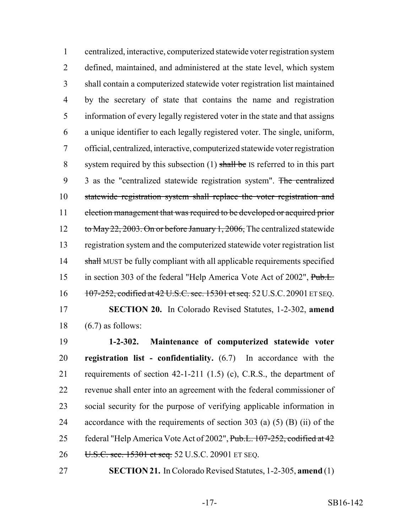centralized, interactive, computerized statewide voter registration system defined, maintained, and administered at the state level, which system shall contain a computerized statewide voter registration list maintained by the secretary of state that contains the name and registration information of every legally registered voter in the state and that assigns a unique identifier to each legally registered voter. The single, uniform, official, centralized, interactive, computerized statewide voter registration 8 system required by this subsection  $(1)$  shall be IS referred to in this part 9 3 as the "centralized statewide registration system". The centralized statewide registration system shall replace the voter registration and election management that was required to be developed or acquired prior 12 to May 22, 2003. On or before January 1, 2006, The centralized statewide registration system and the computerized statewide voter registration list 14 shall MUST be fully compliant with all applicable requirements specified 15 in section 303 of the federal "Help America Vote Act of 2002", Pub.L. 16 107-252, codified at 42 U.S.C. sec. 15301 et seq. 52 U.S.C. 20901 ET SEQ.

 **SECTION 20.** In Colorado Revised Statutes, 1-2-302, **amend** 18  $(6.7)$  as follows:

 **1-2-302. Maintenance of computerized statewide voter registration list - confidentiality.** (6.7) In accordance with the requirements of section 42-1-211 (1.5) (c), C.R.S., the department of revenue shall enter into an agreement with the federal commissioner of social security for the purpose of verifying applicable information in accordance with the requirements of section 303 (a) (5) (B) (ii) of the 25 federal "Help America Vote Act of 2002", Pub.L. 107-252, codified at 42 26 U.S.C. sec. 15301 et seq. 52 U.S.C. 20901 ET SEQ.

**SECTION 21.** In Colorado Revised Statutes, 1-2-305, **amend** (1)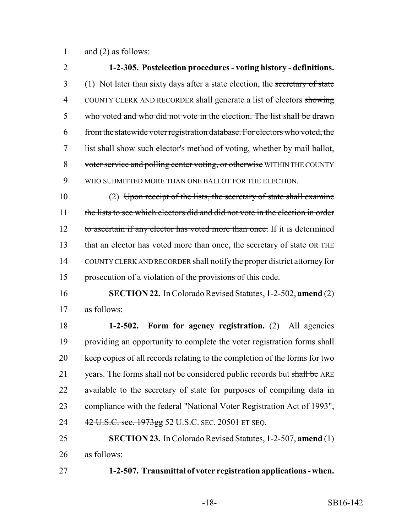and (2) as follows:

 **1-2-305. Postelection procedures - voting history - definitions.** 3 (1) Not later than sixty days after a state election, the secretary of state 4 COUNTY CLERK AND RECORDER shall generate a list of electors showing who voted and who did not vote in the election. The list shall be drawn from the statewide voter registration database. For electors who voted, the list shall show such elector's method of voting, whether by mail ballot, 8 voter service and polling center voting, or otherwise WITHIN THE COUNTY WHO SUBMITTED MORE THAN ONE BALLOT FOR THE ELECTION.

 (2) Upon receipt of the lists, the secretary of state shall examine 11 the lists to see which electors did and did not vote in the election in order 12 to ascertain if any elector has voted more than once. If it is determined that an elector has voted more than once, the secretary of state OR THE COUNTY CLERK AND RECORDER shall notify the proper district attorney for 15 prosecution of a violation of the provisions of this code.

 **SECTION 22.** In Colorado Revised Statutes, 1-2-502, **amend** (2) as follows:

 **1-2-502. Form for agency registration.** (2) All agencies providing an opportunity to complete the voter registration forms shall keep copies of all records relating to the completion of the forms for two 21 years. The forms shall not be considered public records but shall be ARE available to the secretary of state for purposes of compiling data in compliance with the federal "National Voter Registration Act of 1993", 24 42 U.S.C. sec. 1973gg 52 U.S.C. SEC. 20501 ET SEQ.

 **SECTION 23.** In Colorado Revised Statutes, 1-2-507, **amend** (1) as follows:

**1-2-507. Transmittal of voter registration applications - when.**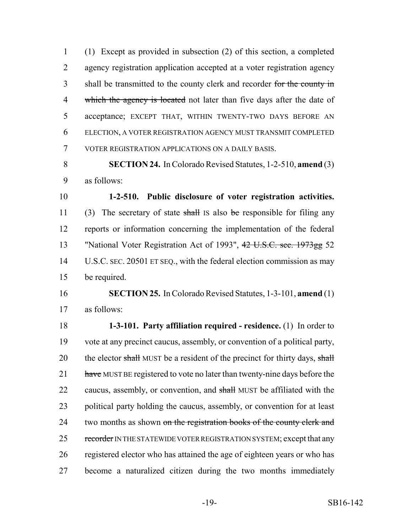(1) Except as provided in subsection (2) of this section, a completed agency registration application accepted at a voter registration agency 3 shall be transmitted to the county clerk and recorder for the county in 4 which the agency is located not later than five days after the date of acceptance; EXCEPT THAT, WITHIN TWENTY-TWO DAYS BEFORE AN ELECTION, A VOTER REGISTRATION AGENCY MUST TRANSMIT COMPLETED VOTER REGISTRATION APPLICATIONS ON A DAILY BASIS.

 **SECTION 24.** In Colorado Revised Statutes, 1-2-510, **amend** (3) as follows:

 **1-2-510. Public disclosure of voter registration activities.** 11 (3) The secretary of state shall IS also be responsible for filing any reports or information concerning the implementation of the federal 13 "National Voter Registration Act of 1993", 42 U.S.C. sec. 1973gg 52 U.S.C. SEC. 20501 ET SEQ., with the federal election commission as may be required.

 **SECTION 25.** In Colorado Revised Statutes, 1-3-101, **amend** (1) as follows:

 **1-3-101. Party affiliation required - residence.** (1) In order to vote at any precinct caucus, assembly, or convention of a political party, 20 the elector shall MUST be a resident of the precinct for thirty days, shall 21 have MUST BE registered to vote no later than twenty-nine days before the 22 caucus, assembly, or convention, and shall MUST be affiliated with the political party holding the caucus, assembly, or convention for at least 24 two months as shown on the registration books of the county clerk and 25 recorder IN THE STATEWIDE VOTER REGISTRATION SYSTEM; except that any registered elector who has attained the age of eighteen years or who has become a naturalized citizen during the two months immediately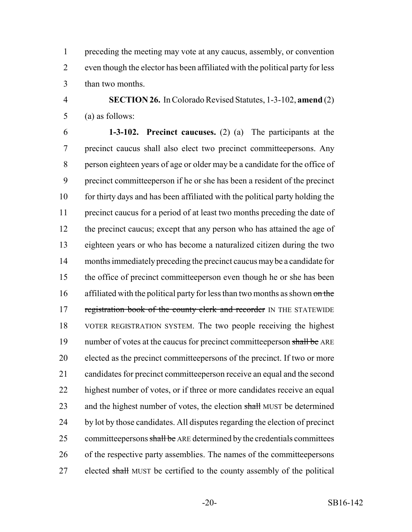preceding the meeting may vote at any caucus, assembly, or convention even though the elector has been affiliated with the political party for less than two months.

 **SECTION 26.** In Colorado Revised Statutes, 1-3-102, **amend** (2) (a) as follows:

 **1-3-102. Precinct caucuses.** (2) (a) The participants at the precinct caucus shall also elect two precinct committeepersons. Any person eighteen years of age or older may be a candidate for the office of precinct committeeperson if he or she has been a resident of the precinct for thirty days and has been affiliated with the political party holding the precinct caucus for a period of at least two months preceding the date of 12 the precinct caucus; except that any person who has attained the age of eighteen years or who has become a naturalized citizen during the two months immediately preceding the precinct caucus may be a candidate for the office of precinct committeeperson even though he or she has been 16 affiliated with the political party for less than two months as shown on the 17 registration book of the county clerk and recorder IN THE STATEWIDE VOTER REGISTRATION SYSTEM. The two people receiving the highest 19 number of votes at the caucus for precinct committeeperson shall be ARE elected as the precinct committeepersons of the precinct. If two or more candidates for precinct committeeperson receive an equal and the second highest number of votes, or if three or more candidates receive an equal 23 and the highest number of votes, the election shall MUST be determined by lot by those candidates. All disputes regarding the election of precinct 25 committeepersons shall be ARE determined by the credentials committees of the respective party assemblies. The names of the committeepersons 27 elected shall MUST be certified to the county assembly of the political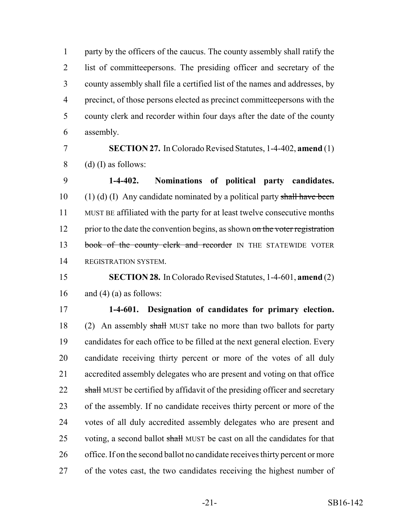party by the officers of the caucus. The county assembly shall ratify the list of committeepersons. The presiding officer and secretary of the county assembly shall file a certified list of the names and addresses, by precinct, of those persons elected as precinct committeepersons with the county clerk and recorder within four days after the date of the county assembly.

 **SECTION 27.** In Colorado Revised Statutes, 1-4-402, **amend** (1) 8 (d) (I) as follows:

 **1-4-402. Nominations of political party candidates.** 10 (1) (d) (I) Any candidate nominated by a political party shall have been MUST BE affiliated with the party for at least twelve consecutive months 12 prior to the date the convention begins, as shown on the voter registration 13 book of the county clerk and recorder IN THE STATEWIDE VOTER REGISTRATION SYSTEM.

## **SECTION 28.** In Colorado Revised Statutes, 1-4-601, **amend** (2) 16 and (4) (a) as follows:

 **1-4-601. Designation of candidates for primary election.** (2) An assembly shall MUST take no more than two ballots for party candidates for each office to be filled at the next general election. Every candidate receiving thirty percent or more of the votes of all duly accredited assembly delegates who are present and voting on that office 22 shall MUST be certified by affidavit of the presiding officer and secretary of the assembly. If no candidate receives thirty percent or more of the votes of all duly accredited assembly delegates who are present and 25 voting, a second ballot shall MUST be cast on all the candidates for that office. If on the second ballot no candidate receives thirty percent or more of the votes cast, the two candidates receiving the highest number of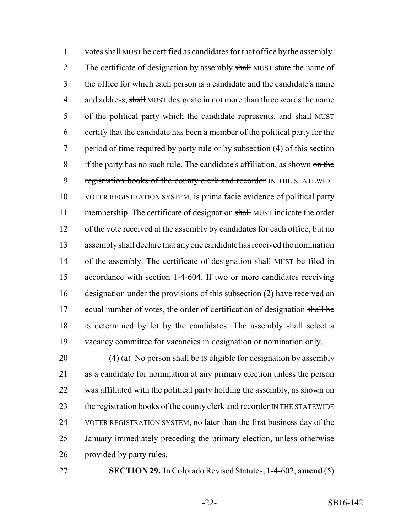1 votes shall MUST be certified as candidates for that office by the assembly. 2 The certificate of designation by assembly shall MUST state the name of 3 the office for which each person is a candidate and the candidate's name 4 and address, shall MUST designate in not more than three words the name 5 of the political party which the candidate represents, and shall MUST 6 certify that the candidate has been a member of the political party for the 7 period of time required by party rule or by subsection (4) of this section 8 if the party has no such rule. The candidate's affiliation, as shown on the 9 registration books of the county clerk and recorder IN THE STATEWIDE 10 VOTER REGISTRATION SYSTEM, is prima facie evidence of political party 11 membership. The certificate of designation shall MUST indicate the order 12 of the vote received at the assembly by candidates for each office, but no 13 assembly shall declare that any one candidate has received the nomination 14 of the assembly. The certificate of designation shall MUST be filed in 15 accordance with section 1-4-604. If two or more candidates receiving 16 designation under the provisions of this subsection  $(2)$  have received an 17 equal number of votes, the order of certification of designation shall be 18 IS determined by lot by the candidates. The assembly shall select a 19 vacancy committee for vacancies in designation or nomination only.

20 (4) (a) No person shall be IS eligible for designation by assembly 21 as a candidate for nomination at any primary election unless the person 22 was affiliated with the political party holding the assembly, as shown on 23 the registration books of the county clerk and recorder IN THE STATEWIDE 24 VOTER REGISTRATION SYSTEM, no later than the first business day of the 25 January immediately preceding the primary election, unless otherwise 26 provided by party rules.

27 **SECTION 29.** In Colorado Revised Statutes, 1-4-602, **amend** (5)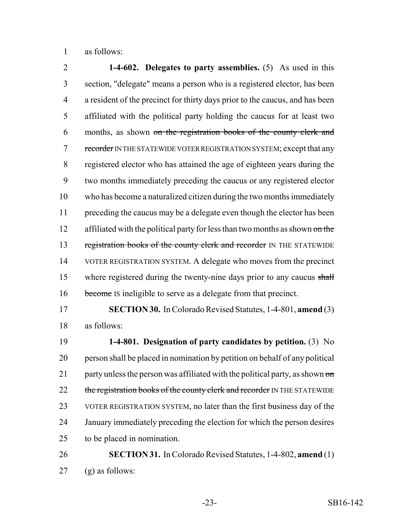as follows:

 **1-4-602. Delegates to party assemblies.** (5) As used in this section, "delegate" means a person who is a registered elector, has been a resident of the precinct for thirty days prior to the caucus, and has been affiliated with the political party holding the caucus for at least two months, as shown on the registration books of the county clerk and 7 recorder IN THE STATEWIDE VOTER REGISTRATION SYSTEM; except that any registered elector who has attained the age of eighteen years during the two months immediately preceding the caucus or any registered elector who has become a naturalized citizen during the two months immediately preceding the caucus may be a delegate even though the elector has been 12 affiliated with the political party for less than two months as shown on the 13 registration books of the county clerk and recorder IN THE STATEWIDE VOTER REGISTRATION SYSTEM. A delegate who moves from the precinct 15 where registered during the twenty-nine days prior to any caucus shall 16 become IS ineligible to serve as a delegate from that precinct.

 **SECTION 30.** In Colorado Revised Statutes, 1-4-801, **amend** (3) as follows:

 **1-4-801. Designation of party candidates by petition.** (3) No person shall be placed in nomination by petition on behalf of any political 21 party unless the person was affiliated with the political party, as shown  $\sigma$ 22 the registration books of the county clerk and recorder IN THE STATEWIDE VOTER REGISTRATION SYSTEM, no later than the first business day of the January immediately preceding the election for which the person desires to be placed in nomination.

 **SECTION 31.** In Colorado Revised Statutes, 1-4-802, **amend** (1) (g) as follows: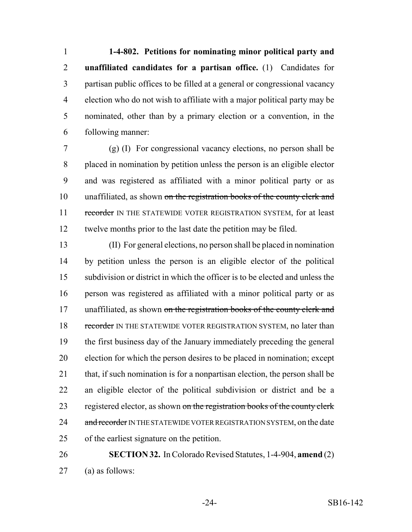**1-4-802. Petitions for nominating minor political party and unaffiliated candidates for a partisan office.** (1) Candidates for partisan public offices to be filled at a general or congressional vacancy election who do not wish to affiliate with a major political party may be nominated, other than by a primary election or a convention, in the following manner:

 (g) (I) For congressional vacancy elections, no person shall be placed in nomination by petition unless the person is an eligible elector and was registered as affiliated with a minor political party or as 10 unaffiliated, as shown on the registration books of the county clerk and 11 recorder IN THE STATEWIDE VOTER REGISTRATION SYSTEM, for at least twelve months prior to the last date the petition may be filed.

 (II) For general elections, no person shall be placed in nomination by petition unless the person is an eligible elector of the political subdivision or district in which the officer is to be elected and unless the person was registered as affiliated with a minor political party or as 17 unaffiliated, as shown on the registration books of the county clerk and 18 recorder IN THE STATEWIDE VOTER REGISTRATION SYSTEM, no later than the first business day of the January immediately preceding the general election for which the person desires to be placed in nomination; except that, if such nomination is for a nonpartisan election, the person shall be an eligible elector of the political subdivision or district and be a 23 registered elector, as shown on the registration books of the county clerk 24 and recorder IN THE STATEWIDE VOTER REGISTRATION SYSTEM, on the date of the earliest signature on the petition.

 **SECTION 32.** In Colorado Revised Statutes, 1-4-904, **amend** (2) (a) as follows: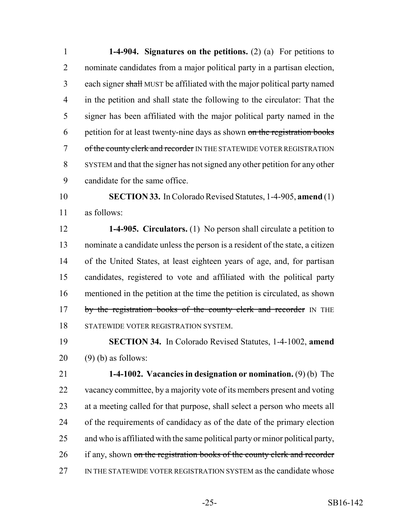**1-4-904. Signatures on the petitions.** (2) (a) For petitions to nominate candidates from a major political party in a partisan election, each signer shall MUST be affiliated with the major political party named in the petition and shall state the following to the circulator: That the signer has been affiliated with the major political party named in the petition for at least twenty-nine days as shown on the registration books 7 of the county clerk and recorder IN THE STATEWIDE VOTER REGISTRATION SYSTEM and that the signer has not signed any other petition for any other candidate for the same office.

 **SECTION 33.** In Colorado Revised Statutes, 1-4-905, **amend** (1) as follows:

 **1-4-905. Circulators.** (1) No person shall circulate a petition to nominate a candidate unless the person is a resident of the state, a citizen of the United States, at least eighteen years of age, and, for partisan candidates, registered to vote and affiliated with the political party mentioned in the petition at the time the petition is circulated, as shown 17 by the registration books of the county clerk and recorder IN THE STATEWIDE VOTER REGISTRATION SYSTEM.

 **SECTION 34.** In Colorado Revised Statutes, 1-4-1002, **amend** (9) (b) as follows:

 **1-4-1002. Vacancies in designation or nomination.** (9) (b) The vacancy committee, by a majority vote of its members present and voting at a meeting called for that purpose, shall select a person who meets all of the requirements of candidacy as of the date of the primary election and who is affiliated with the same political party or minor political party, 26 if any, shown on the registration books of the county clerk and recorder IN THE STATEWIDE VOTER REGISTRATION SYSTEM as the candidate whose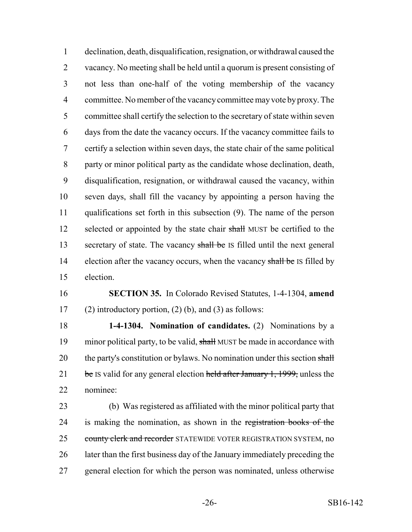declination, death, disqualification, resignation, or withdrawal caused the vacancy. No meeting shall be held until a quorum is present consisting of not less than one-half of the voting membership of the vacancy committee. No member of the vacancy committee may vote by proxy. The committee shall certify the selection to the secretary of state within seven days from the date the vacancy occurs. If the vacancy committee fails to certify a selection within seven days, the state chair of the same political party or minor political party as the candidate whose declination, death, disqualification, resignation, or withdrawal caused the vacancy, within seven days, shall fill the vacancy by appointing a person having the qualifications set forth in this subsection (9). The name of the person 12 selected or appointed by the state chair shall MUST be certified to the 13 secretary of state. The vacancy shall be IS filled until the next general 14 election after the vacancy occurs, when the vacancy shall be IS filled by election.

 **SECTION 35.** In Colorado Revised Statutes, 1-4-1304, **amend** 17 (2) introductory portion, (2) (b), and (3) as follows:

 **1-4-1304. Nomination of candidates.** (2) Nominations by a 19 minor political party, to be valid, shall MUST be made in accordance with 20 the party's constitution or bylaws. No nomination under this section shall 21 be IS valid for any general election held after January 1, 1999, unless the nominee:

 (b) Was registered as affiliated with the minor political party that 24 is making the nomination, as shown in the registration books of the 25 county clerk and recorder STATEWIDE VOTER REGISTRATION SYSTEM, no later than the first business day of the January immediately preceding the general election for which the person was nominated, unless otherwise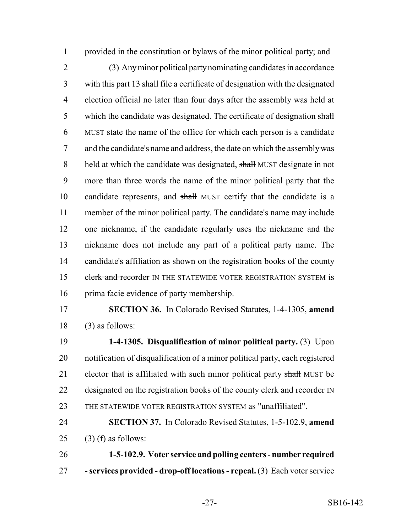provided in the constitution or bylaws of the minor political party; and

 (3) Any minor political party nominating candidates in accordance with this part 13 shall file a certificate of designation with the designated election official no later than four days after the assembly was held at 5 which the candidate was designated. The certificate of designation shall MUST state the name of the office for which each person is a candidate and the candidate's name and address, the date on which the assembly was 8 held at which the candidate was designated, shall MUST designate in not more than three words the name of the minor political party that the candidate represents, and shall MUST certify that the candidate is a member of the minor political party. The candidate's name may include one nickname, if the candidate regularly uses the nickname and the nickname does not include any part of a political party name. The 14 candidate's affiliation as shown on the registration books of the county 15 clerk and recorder IN THE STATEWIDE VOTER REGISTRATION SYSTEM is 16 prima facie evidence of party membership.

 **SECTION 36.** In Colorado Revised Statutes, 1-4-1305, **amend** (3) as follows:

 **1-4-1305. Disqualification of minor political party.** (3) Upon notification of disqualification of a minor political party, each registered 21 elector that is affiliated with such minor political party shall MUST be 22 designated on the registration books of the county clerk and recorder IN THE STATEWIDE VOTER REGISTRATION SYSTEM as "unaffiliated".

 **SECTION 37.** In Colorado Revised Statutes, 1-5-102.9, **amend** 25 (3) (f) as follows:

 **1-5-102.9. Voter service and polling centers - number required - services provided - drop-off locations - repeal.** (3) Each voter service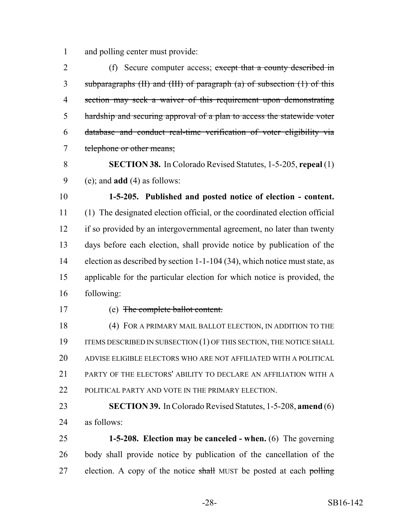and polling center must provide:

2 (f) Secure computer access; except that a county described in subparagraphs (II) and (III) of paragraph (a) of subsection (1) of this section may seek a waiver of this requirement upon demonstrating hardship and securing approval of a plan to access the statewide voter database and conduct real-time verification of voter eligibility via telephone or other means;

 **SECTION 38.** In Colorado Revised Statutes, 1-5-205, **repeal** (1) (e); and **add** (4) as follows:

 **1-5-205. Published and posted notice of election - content.** (1) The designated election official, or the coordinated election official if so provided by an intergovernmental agreement, no later than twenty days before each election, shall provide notice by publication of the election as described by section 1-1-104 (34), which notice must state, as applicable for the particular election for which notice is provided, the following:

#### (e) The complete ballot content.

 (4) FOR A PRIMARY MAIL BALLOT ELECTION, IN ADDITION TO THE 19 ITEMS DESCRIBED IN SUBSECTION (1) OF THIS SECTION, THE NOTICE SHALL ADVISE ELIGIBLE ELECTORS WHO ARE NOT AFFILIATED WITH A POLITICAL PARTY OF THE ELECTORS' ABILITY TO DECLARE AN AFFILIATION WITH A 22 POLITICAL PARTY AND VOTE IN THE PRIMARY ELECTION.

 **SECTION 39.** In Colorado Revised Statutes, 1-5-208, **amend** (6) as follows:

 **1-5-208. Election may be canceled - when.** (6) The governing body shall provide notice by publication of the cancellation of the 27 election. A copy of the notice shall MUST be posted at each polling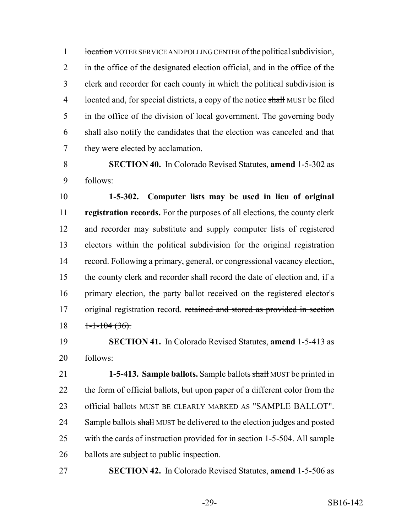1 location VOTER SERVICE AND POLLING CENTER of the political subdivision, in the office of the designated election official, and in the office of the clerk and recorder for each county in which the political subdivision is 4 located and, for special districts, a copy of the notice shall MUST be filed in the office of the division of local government. The governing body shall also notify the candidates that the election was canceled and that they were elected by acclamation.

 **SECTION 40.** In Colorado Revised Statutes, **amend** 1-5-302 as follows:

 **1-5-302. Computer lists may be used in lieu of original registration records.** For the purposes of all elections, the county clerk and recorder may substitute and supply computer lists of registered electors within the political subdivision for the original registration record. Following a primary, general, or congressional vacancy election, the county clerk and recorder shall record the date of election and, if a primary election, the party ballot received on the registered elector's 17 original registration record. retained and stored as provided in section  $18 \quad \frac{1-1-104}{(36)}$ .

 **SECTION 41.** In Colorado Revised Statutes, **amend** 1-5-413 as follows:

 **1-5-413. Sample ballots.** Sample ballots shall MUST be printed in 22 the form of official ballots, but upon paper of a different color from the 23 official ballots MUST BE CLEARLY MARKED AS "SAMPLE BALLOT". 24 Sample ballots shall MUST be delivered to the election judges and posted with the cards of instruction provided for in section 1-5-504. All sample ballots are subject to public inspection.

**SECTION 42.** In Colorado Revised Statutes, **amend** 1-5-506 as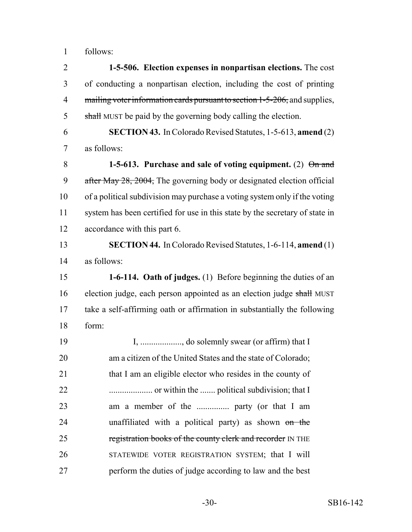follows:

 **1-5-506. Election expenses in nonpartisan elections.** The cost of conducting a nonpartisan election, including the cost of printing 4 mailing voter information cards pursuant to section 1-5-206, and supplies, 5 shall MUST be paid by the governing body calling the election.

 **SECTION 43.** In Colorado Revised Statutes, 1-5-613, **amend** (2) as follows:

 **1-5-613. Purchase and sale of voting equipment.** (2) On and 9 after May 28, 2004, The governing body or designated election official of a political subdivision may purchase a voting system only if the voting system has been certified for use in this state by the secretary of state in accordance with this part 6.

 **SECTION 44.** In Colorado Revised Statutes, 1-6-114, **amend** (1) as follows:

 **1-6-114. Oath of judges.** (1) Before beginning the duties of an 16 election judge, each person appointed as an election judge shall MUST take a self-affirming oath or affirmation in substantially the following form:

 I, ..................., do solemnly swear (or affirm) that I am a citizen of the United States and the state of Colorado; 21 that I am an eligible elector who resides in the county of .................... or within the ....... political subdivision; that I am a member of the ............... party (or that I am 24 unaffiliated with a political party) as shown on the 25 registration books of the county clerk and recorder IN THE STATEWIDE VOTER REGISTRATION SYSTEM; that I will perform the duties of judge according to law and the best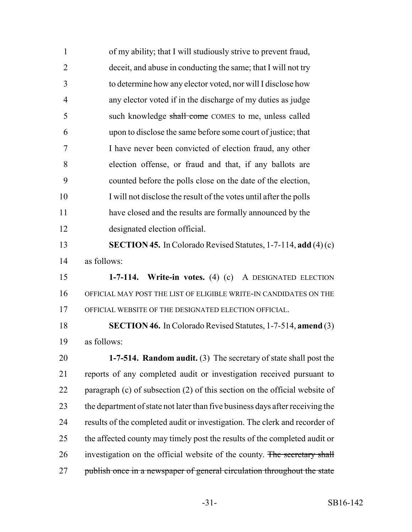| $\mathbf{1}$   | of my ability; that I will studiously strive to prevent fraud,                |
|----------------|-------------------------------------------------------------------------------|
| $\overline{2}$ | deceit, and abuse in conducting the same; that I will not try                 |
| 3              | to determine how any elector voted, nor will I disclose how                   |
| $\overline{4}$ | any elector voted if in the discharge of my duties as judge                   |
| 5              | such knowledge shall come COMES to me, unless called                          |
| 6              | upon to disclose the same before some court of justice; that                  |
| 7              | I have never been convicted of election fraud, any other                      |
| 8              | election offense, or fraud and that, if any ballots are                       |
| 9              | counted before the polls close on the date of the election,                   |
| 10             | I will not disclose the result of the votes until after the polls             |
| 11             | have closed and the results are formally announced by the                     |
| 12             | designated election official.                                                 |
| 13             | <b>SECTION 45.</b> In Colorado Revised Statutes, $1-7-114$ , add $(4)(c)$     |
| 14             | as follows:                                                                   |
| 15             | 1-7-114. Write-in votes. (4) (c) A DESIGNATED ELECTION                        |
| 16             | OFFICIAL MAY POST THE LIST OF ELIGIBLE WRITE-IN CANDIDATES ON THE             |
| 17             | OFFICIAL WEBSITE OF THE DESIGNATED ELECTION OFFICIAL.                         |
| 18             | <b>SECTION 46.</b> In Colorado Revised Statutes, 1-7-514, amend (3)           |
| 19             | as follows:                                                                   |
| 20             | 1-7-514. Random audit. (3) The secretary of state shall post the              |
| 21             | reports of any completed audit or investigation received pursuant to          |
| 22             | paragraph (c) of subsection (2) of this section on the official website of    |
| 23             | the department of state not later than five business days after receiving the |
| 24             | results of the completed audit or investigation. The clerk and recorder of    |
| 25             | the affected county may timely post the results of the completed audit or     |
| 26             | investigation on the official website of the county. The secretary shall      |
| 27             | publish once in a newspaper of general circulation throughout the state       |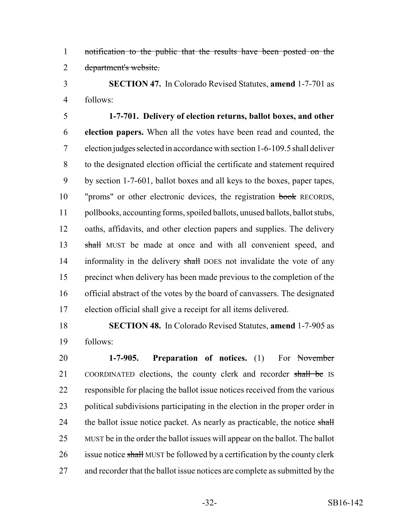notification to the public that the results have been posted on the department's website.

 **SECTION 47.** In Colorado Revised Statutes, **amend** 1-7-701 as follows:

 **1-7-701. Delivery of election returns, ballot boxes, and other election papers.** When all the votes have been read and counted, the election judges selected in accordance with section 1-6-109.5 shall deliver to the designated election official the certificate and statement required by section 1-7-601, ballot boxes and all keys to the boxes, paper tapes, "proms" or other electronic devices, the registration book RECORDS, pollbooks, accounting forms, spoiled ballots, unused ballots, ballot stubs, oaths, affidavits, and other election papers and supplies. The delivery 13 shall MUST be made at once and with all convenient speed, and 14 informality in the delivery shall DOES not invalidate the vote of any precinct when delivery has been made previous to the completion of the official abstract of the votes by the board of canvassers. The designated election official shall give a receipt for all items delivered.

 **SECTION 48.** In Colorado Revised Statutes, **amend** 1-7-905 as follows:

 **1-7-905. Preparation of notices.** (1) For November 21 COORDINATED elections, the county clerk and recorder shall be IS responsible for placing the ballot issue notices received from the various political subdivisions participating in the election in the proper order in 24 the ballot issue notice packet. As nearly as practicable, the notice shall MUST be in the order the ballot issues will appear on the ballot. The ballot 26 issue notice shall MUST be followed by a certification by the county clerk and recorder that the ballot issue notices are complete as submitted by the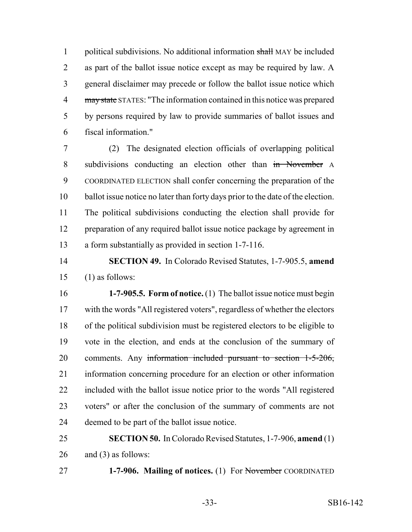1 political subdivisions. No additional information shall MAY be included as part of the ballot issue notice except as may be required by law. A general disclaimer may precede or follow the ballot issue notice which 4 may state STATES: "The information contained in this notice was prepared by persons required by law to provide summaries of ballot issues and fiscal information."

 (2) The designated election officials of overlapping political 8 subdivisions conducting an election other than in November A COORDINATED ELECTION shall confer concerning the preparation of the ballot issue notice no later than forty days prior to the date of the election. The political subdivisions conducting the election shall provide for preparation of any required ballot issue notice package by agreement in a form substantially as provided in section 1-7-116.

 **SECTION 49.** In Colorado Revised Statutes, 1-7-905.5, **amend** (1) as follows:

 **1-7-905.5. Form of notice.** (1) The ballot issue notice must begin with the words "All registered voters", regardless of whether the electors of the political subdivision must be registered electors to be eligible to vote in the election, and ends at the conclusion of the summary of comments. Any information included pursuant to section 1-5-206, information concerning procedure for an election or other information included with the ballot issue notice prior to the words "All registered voters" or after the conclusion of the summary of comments are not deemed to be part of the ballot issue notice.

 **SECTION 50.** In Colorado Revised Statutes, 1-7-906, **amend** (1) 26 and (3) as follows:

**1-7-906. Mailing of notices.** (1) For November COORDINATED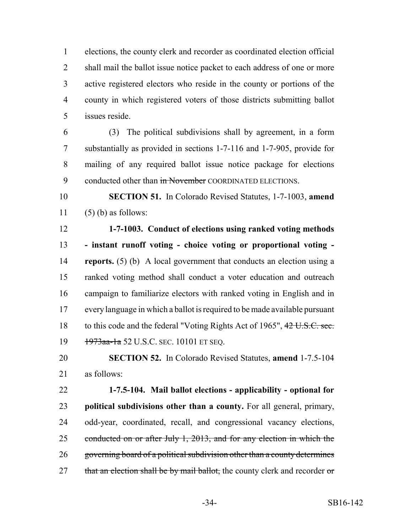elections, the county clerk and recorder as coordinated election official 2 shall mail the ballot issue notice packet to each address of one or more active registered electors who reside in the county or portions of the county in which registered voters of those districts submitting ballot issues reside.

 (3) The political subdivisions shall by agreement, in a form substantially as provided in sections 1-7-116 and 1-7-905, provide for mailing of any required ballot issue notice package for elections 9 conducted other than in November COORDINATED ELECTIONS.

 **SECTION 51.** In Colorado Revised Statutes, 1-7-1003, **amend** 11  $(5)$  (b) as follows:

 **1-7-1003. Conduct of elections using ranked voting methods - instant runoff voting - choice voting or proportional voting - reports.** (5) (b) A local government that conducts an election using a ranked voting method shall conduct a voter education and outreach campaign to familiarize electors with ranked voting in English and in every language in which a ballot is required to be made available pursuant 18 to this code and the federal "Voting Rights Act of 1965", 42 U.S.C. sec. 19 1973aa-1a 52 U.S.C. SEC. 10101 ET SEQ.

 **SECTION 52.** In Colorado Revised Statutes, **amend** 1-7.5-104 as follows:

 **1-7.5-104. Mail ballot elections - applicability - optional for political subdivisions other than a county.** For all general, primary, odd-year, coordinated, recall, and congressional vacancy elections, 25 conducted on or after July 1, 2013, and for any election in which the governing board of a political subdivision other than a county determines 27 that an election shall be by mail ballot, the county clerk and recorder or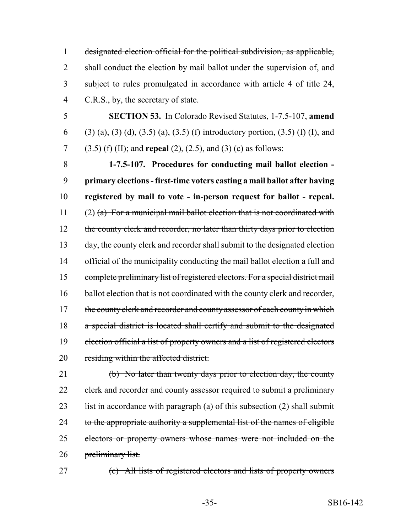designated election official for the political subdivision, as applicable, 2 shall conduct the election by mail ballot under the supervision of, and subject to rules promulgated in accordance with article 4 of title 24, C.R.S., by, the secretary of state.

5 **SECTION 53.** In Colorado Revised Statutes, 1-7.5-107, **amend** 6 (3) (a), (3) (d), (3.5) (a), (3.5) (f) introductory portion, (3.5) (f) (I), and 7 (3.5) (f) (II); and **repeal** (2), (2.5), and (3) (c) as follows:

8 **1-7.5-107. Procedures for conducting mail ballot election -** 9 **primary elections - first-time voters casting a mail ballot after having** 10 **registered by mail to vote - in-person request for ballot - repeal.** 11 (2) (a) For a municipal mail ballot election that is not coordinated with 12 the county clerk and recorder, no later than thirty days prior to election 13 day, the county clerk and recorder shall submit to the designated election 14 official of the municipality conducting the mail ballot election a full and 15 complete preliminary list of registered electors. For a special district mail 16 ballot election that is not coordinated with the county clerk and recorder, 17 the county clerk and recorder and county assessor of each county in which 18 a special district is located shall certify and submit to the designated 19 election official a list of property owners and a list of registered electors 20 residing within the affected district.

21 (b) No later than twenty days prior to election day, the county 22 clerk and recorder and county assessor required to submit a preliminary 23 list in accordance with paragraph (a) of this subsection  $(2)$  shall submit 24 to the appropriate authority a supplemental list of the names of eligible 25 electors or property owners whose names were not included on the 26 preliminary list.

27 (c) All lists of registered electors and lists of property owners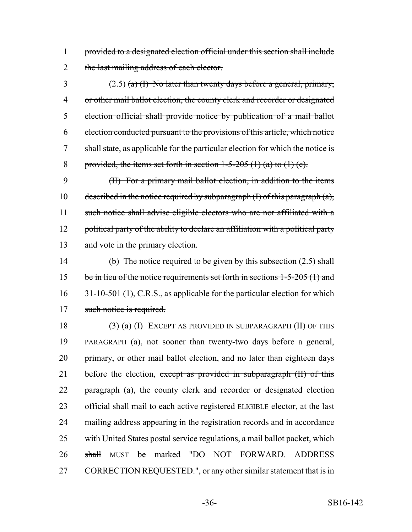1 provided to a designated election official under this section shall include 2 the last mailing address of each elector.

3 (2.5) (a) (I) No later than twenty days before a general, primary, or other mail ballot election, the county clerk and recorder or designated election official shall provide notice by publication of a mail ballot election conducted pursuant to the provisions of this article, which notice shall state, as applicable for the particular election for which the notice is 8 provided, the items set forth in section  $1-5-205$  (1) (a) to (1) (c).

9 (II) For a primary mail ballot election, in addition to the items 10 described in the notice required by subparagraph  $(I)$  of this paragraph  $(a)$ , 11 such notice shall advise eligible electors who are not affiliated with a 12 political party of the ability to declare an affiliation with a political party 13 and vote in the primary election.

14 (b) The notice required to be given by this subsection  $(2.5)$  shall 15 be in lieu of the notice requirements set forth in sections 1-5-205 (1) and 16 31-10-501 (1), C.R.S., as applicable for the particular election for which 17 such notice is required.

18 (3) (a) (I) EXCEPT AS PROVIDED IN SUBPARAGRAPH (II) OF THIS 19 PARAGRAPH (a), not sooner than twenty-two days before a general, 20 primary, or other mail ballot election, and no later than eighteen days 21 before the election, except as provided in subparagraph (II) of this 22 paragraph  $(a)$ , the county clerk and recorder or designated election 23 official shall mail to each active registered ELIGIBLE elector, at the last 24 mailing address appearing in the registration records and in accordance 25 with United States postal service regulations, a mail ballot packet, which 26 shall MUST be marked "DO NOT FORWARD. ADDRESS 27 CORRECTION REQUESTED.", or any other similar statement that is in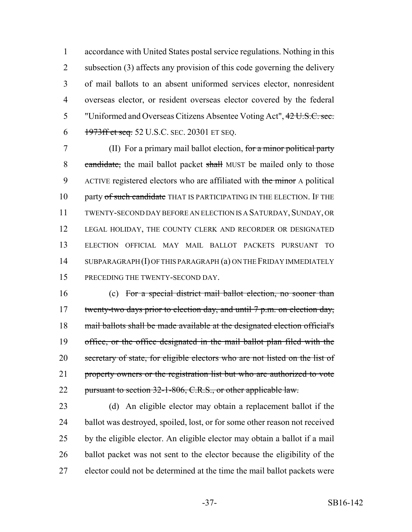accordance with United States postal service regulations. Nothing in this 2 subsection (3) affects any provision of this code governing the delivery of mail ballots to an absent uniformed services elector, nonresident overseas elector, or resident overseas elector covered by the federal "Uniformed and Overseas Citizens Absentee Voting Act", 42 U.S.C. sec. 6 1973ff et seq. 52 U.S.C. SEC. 20301 ET SEQ.

7 (II) For a primary mail ballot election, for a minor political party 8 candidate, the mail ballot packet shall MUST be mailed only to those 9 ACTIVE registered electors who are affiliated with the minor A political 10 party of such candidate THAT IS PARTICIPATING IN THE ELECTION. IF THE 11 TWENTY-SECOND DAY BEFORE AN ELECTION IS A SATURDAY, SUNDAY, OR 12 LEGAL HOLIDAY, THE COUNTY CLERK AND RECORDER OR DESIGNATED 13 ELECTION OFFICIAL MAY MAIL BALLOT PACKETS PURSUANT TO 14 SUBPARAGRAPH (I) OF THIS PARAGRAPH (a) ON THE FRIDAY IMMEDIATELY 15 PRECEDING THE TWENTY-SECOND DAY.

16 (c) For a special district mail ballot election, no sooner than 17 twenty-two days prior to election day, and until 7 p.m. on election day, 18 mail ballots shall be made available at the designated election official's 19 office, or the office designated in the mail ballot plan filed with the 20 secretary of state, for eligible electors who are not listed on the list of 21 property owners or the registration list but who are authorized to vote 22 pursuant to section 32-1-806, C.R.S., or other applicable law.

 (d) An eligible elector may obtain a replacement ballot if the ballot was destroyed, spoiled, lost, or for some other reason not received by the eligible elector. An eligible elector may obtain a ballot if a mail 26 ballot packet was not sent to the elector because the eligibility of the elector could not be determined at the time the mail ballot packets were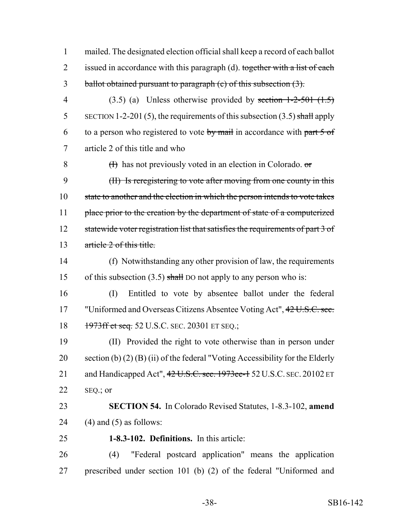1 mailed. The designated election official shall keep a record of each ballot 2 issued in accordance with this paragraph (d). together with a list of each 3 ballot obtained pursuant to paragraph (c) of this subsection (3).

4 (3.5) (a) Unless otherwise provided by section  $1-2-501$  (1.5) 5 SECTION 1-2-201 (5), the requirements of this subsection  $(3.5)$  shall apply 6 to a person who registered to vote by mail in accordance with part  $5 \text{ of }$ 7 article 2 of this title and who

 $(H)$  has not previously voted in an election in Colorado.  $\sigma$  (II) Is reregistering to vote after moving from one county in this state to another and the election in which the person intends to vote takes 11 place prior to the creation by the department of state of a computerized

12 statewide voter registration list that satisfies the requirements of part 3 of 13 article 2 of this title.

14 (f) Notwithstanding any other provision of law, the requirements 15 of this subsection  $(3.5)$  shall DO not apply to any person who is:

16 (I) Entitled to vote by absentee ballot under the federal 17 "Uniformed and Overseas Citizens Absentee Voting Act", 42 U.S.C. sec. 18 1973ff et seq. 52 U.S.C. SEC. 20301 ET SEQ.;

19 (II) Provided the right to vote otherwise than in person under 20 section (b) (2) (B) (ii) of the federal "Voting Accessibility for the Elderly 21 and Handicapped Act",  $42 \text{ U.S.C. sec.}$  1973ee-1 52 U.S.C. SEC. 20102 ET 22  $SEQ$ ; or

23 **SECTION 54.** In Colorado Revised Statutes, 1-8.3-102, **amend** 24 (4) and (5) as follows:

25 **1-8.3-102. Definitions.** In this article:

26 (4) "Federal postcard application" means the application 27 prescribed under section 101 (b) (2) of the federal "Uniformed and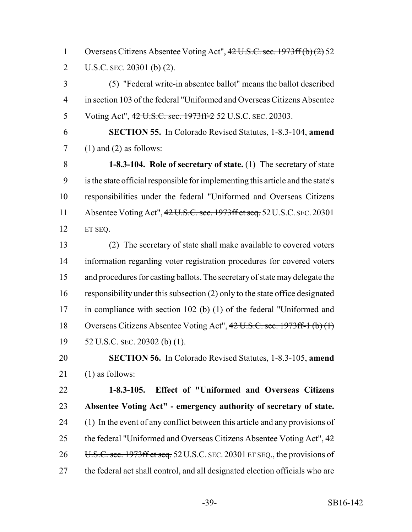Overseas Citizens Absentee Voting Act", 42 U.S.C. sec. 1973ff (b) (2) 52 U.S.C. SEC. 20301 (b) (2).

 (5) "Federal write-in absentee ballot" means the ballot described in section 103 of the federal "Uniformed and Overseas Citizens Absentee 5 Voting Act",  $42 \text{ U.S.C. sec.}$  1973ff-2 52 U.S.C. SEC. 20303.

 **SECTION 55.** In Colorado Revised Statutes, 1-8.3-104, **amend**  $7 \quad (1)$  and  $(2)$  as follows:

 **1-8.3-104. Role of secretary of state.** (1) The secretary of state is the state official responsible for implementing this article and the state's responsibilities under the federal "Uniformed and Overseas Citizens 11 Absentee Voting Act", 42 U.S.C. sec. 1973ff et seq. 52 U.S.C. SEC. 20301 ET SEQ.

 (2) The secretary of state shall make available to covered voters information regarding voter registration procedures for covered voters and procedures for casting ballots. The secretary of state may delegate the responsibility under this subsection (2) only to the state office designated in compliance with section 102 (b) (1) of the federal "Uniformed and Overseas Citizens Absentee Voting Act", 42 U.S.C. sec. 1973ff-1 (b) (1) 52 U.S.C. SEC. 20302 (b) (1).

 **SECTION 56.** In Colorado Revised Statutes, 1-8.3-105, **amend** (1) as follows:

 **1-8.3-105. Effect of "Uniformed and Overseas Citizens Absentee Voting Act" - emergency authority of secretary of state.** (1) In the event of any conflict between this article and any provisions of 25 the federal "Uniformed and Overseas Citizens Absentee Voting Act", 26 U.S.C. sec. 1973ff et seq. 52 U.S.C. SEC. 20301 ET SEQ., the provisions of the federal act shall control, and all designated election officials who are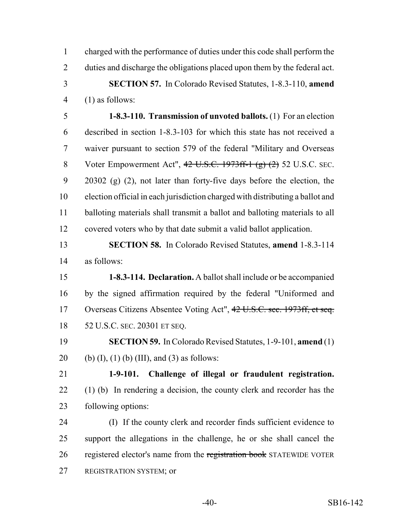charged with the performance of duties under this code shall perform the duties and discharge the obligations placed upon them by the federal act. **SECTION 57.** In Colorado Revised Statutes, 1-8.3-110, **amend** (1) as follows:

 **1-8.3-110. Transmission of unvoted ballots.** (1) For an election described in section 1-8.3-103 for which this state has not received a waiver pursuant to section 579 of the federal "Military and Overseas 8 Voter Empowerment Act",  $42 \text{ U.S.C. } 1973 \text{ ff-1 (g)} (2) 52 \text{ U.S.C. } \text{SEC.}$  20302 (g) (2), not later than forty-five days before the election, the election official in each jurisdiction charged with distributing a ballot and balloting materials shall transmit a ballot and balloting materials to all covered voters who by that date submit a valid ballot application.

### **SECTION 58.** In Colorado Revised Statutes, **amend** 1-8.3-114 as follows:

 **1-8.3-114. Declaration.** A ballot shall include or be accompanied by the signed affirmation required by the federal "Uniformed and Overseas Citizens Absentee Voting Act", 42 U.S.C. sec. 1973ff, et seq. 52 U.S.C. SEC. 20301 ET SEQ.

 **SECTION 59.** In Colorado Revised Statutes, 1-9-101, **amend** (1) 20 (b) (I), (1) (b) (III), and (3) as follows:

 **1-9-101. Challenge of illegal or fraudulent registration.** (1) (b) In rendering a decision, the county clerk and recorder has the following options:

 (I) If the county clerk and recorder finds sufficient evidence to support the allegations in the challenge, he or she shall cancel the 26 registered elector's name from the registration book STATEWIDE VOTER REGISTRATION SYSTEM; or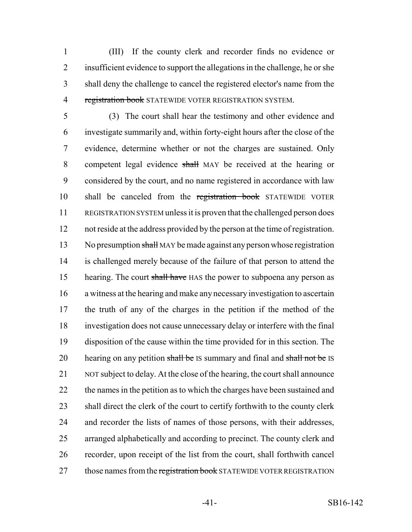(III) If the county clerk and recorder finds no evidence or insufficient evidence to support the allegations in the challenge, he or she shall deny the challenge to cancel the registered elector's name from the 4 registration book STATEWIDE VOTER REGISTRATION SYSTEM.

 (3) The court shall hear the testimony and other evidence and investigate summarily and, within forty-eight hours after the close of the evidence, determine whether or not the charges are sustained. Only 8 competent legal evidence shall MAY be received at the hearing or considered by the court, and no name registered in accordance with law 10 shall be canceled from the registration book STATEWIDE VOTER REGISTRATION SYSTEM unless it is proven that the challenged person does not reside at the address provided by the person at the time of registration. 13 No presumption shall MAY be made against any person whose registration is challenged merely because of the failure of that person to attend the 15 hearing. The court shall have HAS the power to subpoena any person as a witness at the hearing and make any necessary investigation to ascertain the truth of any of the charges in the petition if the method of the investigation does not cause unnecessary delay or interfere with the final disposition of the cause within the time provided for in this section. The 20 hearing on any petition shall be IS summary and final and shall not be IS NOT subject to delay. At the close of the hearing, the court shall announce 22 the names in the petition as to which the charges have been sustained and 23 shall direct the clerk of the court to certify forthwith to the county clerk and recorder the lists of names of those persons, with their addresses, arranged alphabetically and according to precinct. The county clerk and recorder, upon receipt of the list from the court, shall forthwith cancel 27 those names from the registration book STATEWIDE VOTER REGISTRATION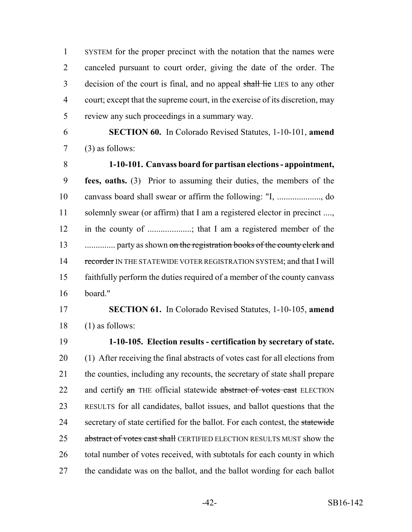SYSTEM for the proper precinct with the notation that the names were canceled pursuant to court order, giving the date of the order. The 3 decision of the court is final, and no appeal shall lie LIES to any other court; except that the supreme court, in the exercise of its discretion, may review any such proceedings in a summary way.

 **SECTION 60.** In Colorado Revised Statutes, 1-10-101, **amend**  $7 \qquad (3)$  as follows:

 **1-10-101. Canvass board for partisan elections - appointment, fees, oaths.** (3) Prior to assuming their duties, the members of the canvass board shall swear or affirm the following: "I, ...................., do 11 solemnly swear (or affirm) that I am a registered elector in precinct ...., in the county of ....................; that I am a registered member of the .............. party as shown on the registration books of the county clerk and 14 recorder IN THE STATEWIDE VOTER REGISTRATION SYSTEM; and that I will faithfully perform the duties required of a member of the county canvass board."

# **SECTION 61.** In Colorado Revised Statutes, 1-10-105, **amend** (1) as follows:

 **1-10-105. Election results - certification by secretary of state.** (1) After receiving the final abstracts of votes cast for all elections from the counties, including any recounts, the secretary of state shall prepare 22 and certify an THE official statewide abstract of votes cast ELECTION RESULTS for all candidates, ballot issues, and ballot questions that the 24 secretary of state certified for the ballot. For each contest, the statewide 25 abstract of votes cast shall CERTIFIED ELECTION RESULTS MUST show the 26 total number of votes received, with subtotals for each county in which the candidate was on the ballot, and the ballot wording for each ballot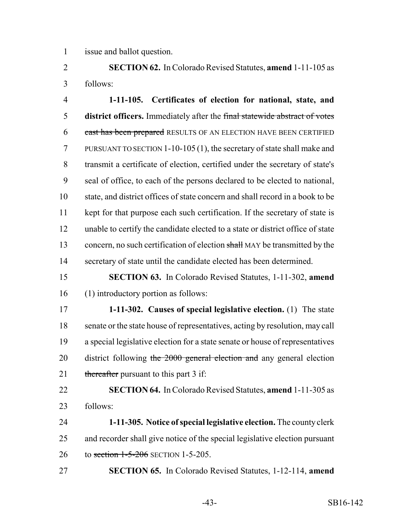issue and ballot question.

 **SECTION 62.** In Colorado Revised Statutes, **amend** 1-11-105 as follows:

 **1-11-105. Certificates of election for national, state, and district officers.** Immediately after the final statewide abstract of votes 6 cast has been prepared RESULTS OF AN ELECTION HAVE BEEN CERTIFIED PURSUANT TO SECTION 1-10-105 (1), the secretary of state shall make and transmit a certificate of election, certified under the secretary of state's seal of office, to each of the persons declared to be elected to national, state, and district offices of state concern and shall record in a book to be kept for that purpose each such certification. If the secretary of state is unable to certify the candidate elected to a state or district office of state 13 concern, no such certification of election shall MAY be transmitted by the secretary of state until the candidate elected has been determined.

 **SECTION 63.** In Colorado Revised Statutes, 1-11-302, **amend** (1) introductory portion as follows:

 **1-11-302. Causes of special legislative election.** (1) The state senate or the state house of representatives, acting by resolution, may call a special legislative election for a state senate or house of representatives 20 district following the 2000 general election and any general election 21 thereafter pursuant to this part 3 if:

 **SECTION 64.** In Colorado Revised Statutes, **amend** 1-11-305 as follows:

 **1-11-305. Notice of special legislative election.** The county clerk and recorder shall give notice of the special legislative election pursuant 26 to section 1-5-206 SECTION 1-5-205.

**SECTION 65.** In Colorado Revised Statutes, 1-12-114, **amend**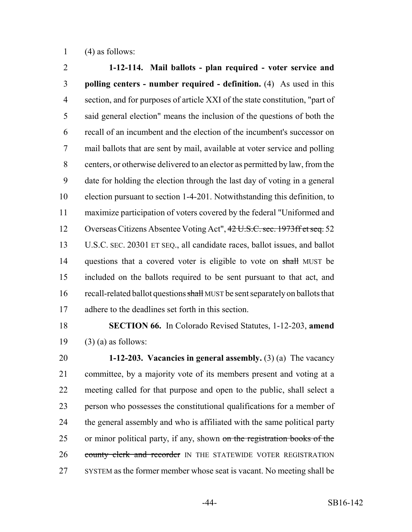1  $(4)$  as follows:

 **1-12-114. Mail ballots - plan required - voter service and polling centers - number required - definition.** (4) As used in this section, and for purposes of article XXI of the state constitution, "part of said general election" means the inclusion of the questions of both the recall of an incumbent and the election of the incumbent's successor on mail ballots that are sent by mail, available at voter service and polling centers, or otherwise delivered to an elector as permitted by law, from the date for holding the election through the last day of voting in a general election pursuant to section 1-4-201. Notwithstanding this definition, to maximize participation of voters covered by the federal "Uniformed and 12 Overseas Citizens Absentee Voting Act", 42 U.S.C. sec. 1973ff et seq. 52 U.S.C. SEC. 20301 ET SEQ., all candidate races, ballot issues, and ballot 14 questions that a covered voter is eligible to vote on shall MUST be included on the ballots required to be sent pursuant to that act, and 16 recall-related ballot questions shall MUST be sent separately on ballots that adhere to the deadlines set forth in this section.

 **SECTION 66.** In Colorado Revised Statutes, 1-12-203, **amend** 19  $(3)$  (a) as follows:

 **1-12-203. Vacancies in general assembly.** (3) (a) The vacancy committee, by a majority vote of its members present and voting at a meeting called for that purpose and open to the public, shall select a person who possesses the constitutional qualifications for a member of 24 the general assembly and who is affiliated with the same political party 25 or minor political party, if any, shown on the registration books of the 26 county clerk and recorder IN THE STATEWIDE VOTER REGISTRATION SYSTEM as the former member whose seat is vacant. No meeting shall be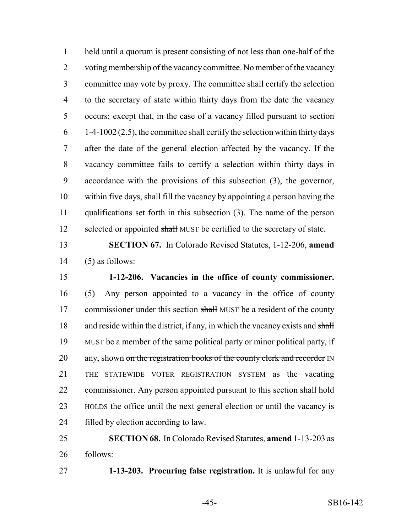held until a quorum is present consisting of not less than one-half of the voting membership of the vacancy committee. No member of the vacancy committee may vote by proxy. The committee shall certify the selection to the secretary of state within thirty days from the date the vacancy occurs; except that, in the case of a vacancy filled pursuant to section  $6 - 1-4-1002(2.5)$ , the committee shall certify the selection within thirty days after the date of the general election affected by the vacancy. If the vacancy committee fails to certify a selection within thirty days in accordance with the provisions of this subsection (3), the governor, within five days, shall fill the vacancy by appointing a person having the qualifications set forth in this subsection (3). The name of the person 12 selected or appointed shall MUST be certified to the secretary of state.

# **SECTION 67.** In Colorado Revised Statutes, 1-12-206, **amend** (5) as follows:

 **1-12-206. Vacancies in the office of county commissioner.** (5) Any person appointed to a vacancy in the office of county 17 commissioner under this section shall MUST be a resident of the county 18 and reside within the district, if any, in which the vacancy exists and shall MUST be a member of the same political party or minor political party, if 20 any, shown on the registration books of the county clerk and recorder IN THE STATEWIDE VOTER REGISTRATION SYSTEM as the vacating 22 commissioner. Any person appointed pursuant to this section shall hold HOLDS the office until the next general election or until the vacancy is filled by election according to law.

 **SECTION 68.** In Colorado Revised Statutes, **amend** 1-13-203 as follows:

**1-13-203. Procuring false registration.** It is unlawful for any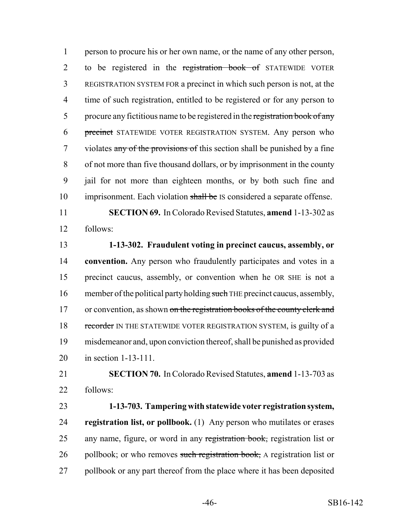1 person to procure his or her own name, or the name of any other person, 2 to be registered in the registration book of STATEWIDE VOTER 3 REGISTRATION SYSTEM FOR a precinct in which such person is not, at the 4 time of such registration, entitled to be registered or for any person to 5 procure any fictitious name to be registered in the registration book of any 6 precinct STATEWIDE VOTER REGISTRATION SYSTEM. Any person who 7 violates any of the provisions of this section shall be punished by a fine 8 of not more than five thousand dollars, or by imprisonment in the county 9 jail for not more than eighteen months, or by both such fine and 10 imprisonment. Each violation shall be IS considered a separate offense.

11 **SECTION 69.** In Colorado Revised Statutes, **amend** 1-13-302 as 12 follows:

 **1-13-302. Fraudulent voting in precinct caucus, assembly, or convention.** Any person who fraudulently participates and votes in a precinct caucus, assembly, or convention when he OR SHE is not a 16 member of the political party holding such THE precinct caucus, assembly, 17 or convention, as shown on the registration books of the county clerk and 18 recorder IN THE STATEWIDE VOTER REGISTRATION SYSTEM, is guilty of a misdemeanor and, upon conviction thereof, shall be punished as provided in section 1-13-111.

21 **SECTION 70.** In Colorado Revised Statutes, **amend** 1-13-703 as 22 follows:

23 **1-13-703. Tampering with statewide voter registration system,** 24 **registration list, or pollbook.** (1) Any person who mutilates or erases 25 any name, figure, or word in any registration book, registration list or 26 pollbook; or who removes such registration book, A registration list or 27 pollbook or any part thereof from the place where it has been deposited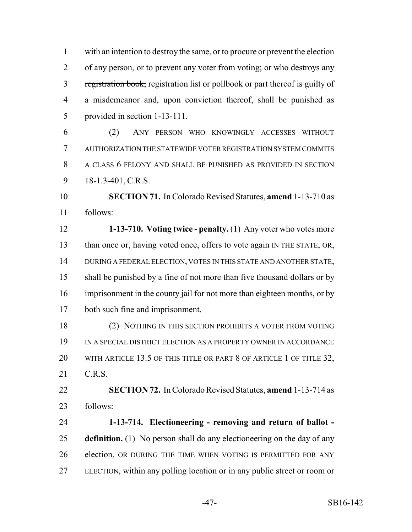with an intention to destroy the same, or to procure or prevent the election of any person, or to prevent any voter from voting; or who destroys any 3 registration book, registration list or pollbook or part thereof is guilty of a misdemeanor and, upon conviction thereof, shall be punished as provided in section 1-13-111.

 (2) ANY PERSON WHO KNOWINGLY ACCESSES WITHOUT AUTHORIZATION THE STATEWIDE VOTER REGISTRATION SYSTEM COMMITS A CLASS 6 FELONY AND SHALL BE PUNISHED AS PROVIDED IN SECTION 9 18-1.3-401, C.R.S.

 **SECTION 71.** In Colorado Revised Statutes, **amend** 1-13-710 as follows:

 **1-13-710. Voting twice - penalty.** (1) Any voter who votes more 13 than once or, having voted once, offers to vote again IN THE STATE, OR, DURING A FEDERAL ELECTION, VOTES IN THIS STATE AND ANOTHER STATE, shall be punished by a fine of not more than five thousand dollars or by imprisonment in the county jail for not more than eighteen months, or by both such fine and imprisonment.

 (2) NOTHING IN THIS SECTION PROHIBITS A VOTER FROM VOTING IN A SPECIAL DISTRICT ELECTION AS A PROPERTY OWNER IN ACCORDANCE 20 WITH ARTICLE 13.5 OF THIS TITLE OR PART 8 OF ARTICLE 1 OF TITLE 32, C.R.S.

 **SECTION 72.** In Colorado Revised Statutes, **amend** 1-13-714 as follows:

 **1-13-714. Electioneering - removing and return of ballot - definition.** (1) No person shall do any electioneering on the day of any election, OR DURING THE TIME WHEN VOTING IS PERMITTED FOR ANY ELECTION, within any polling location or in any public street or room or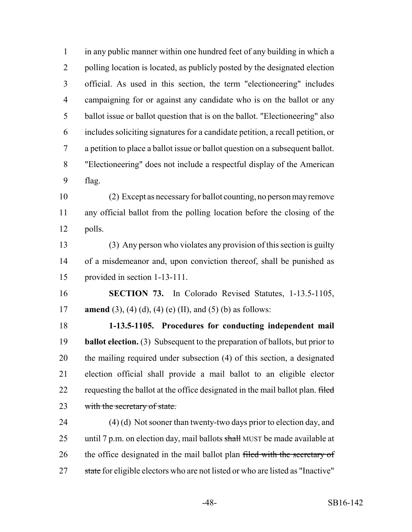in any public manner within one hundred feet of any building in which a polling location is located, as publicly posted by the designated election official. As used in this section, the term "electioneering" includes campaigning for or against any candidate who is on the ballot or any ballot issue or ballot question that is on the ballot. "Electioneering" also includes soliciting signatures for a candidate petition, a recall petition, or a petition to place a ballot issue or ballot question on a subsequent ballot. "Electioneering" does not include a respectful display of the American flag.

 (2) Except as necessary for ballot counting, no person may remove any official ballot from the polling location before the closing of the polls.

 (3) Any person who violates any provision of this section is guilty of a misdemeanor and, upon conviction thereof, shall be punished as provided in section 1-13-111.

 **SECTION 73.** In Colorado Revised Statutes, 1-13.5-1105, **amend** (3), (4) (d), (4) (e) (II), and (5) (b) as follows:

 **1-13.5-1105. Procedures for conducting independent mail ballot election.** (3) Subsequent to the preparation of ballots, but prior to the mailing required under subsection (4) of this section, a designated election official shall provide a mail ballot to an eligible elector 22 requesting the ballot at the office designated in the mail ballot plan. filed 23 with the secretary of state.

 (4) (d) Not sooner than twenty-two days prior to election day, and 25 until 7 p.m. on election day, mail ballots  $\frac{1}{2}$  MUST be made available at 26 the office designated in the mail ballot plan filed with the secretary of 27 state for eligible electors who are not listed or who are listed as "Inactive"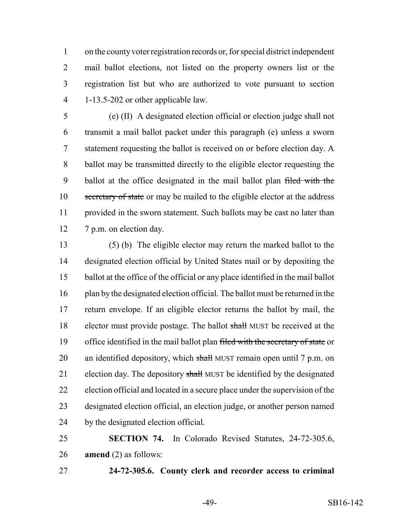on the county voter registration records or, for special district independent mail ballot elections, not listed on the property owners list or the registration list but who are authorized to vote pursuant to section 1-13.5-202 or other applicable law.

 (e) (II) A designated election official or election judge shall not transmit a mail ballot packet under this paragraph (e) unless a sworn statement requesting the ballot is received on or before election day. A ballot may be transmitted directly to the eligible elector requesting the 9 ballot at the office designated in the mail ballot plan filed with the 10 secretary of state or may be mailed to the eligible elector at the address provided in the sworn statement. Such ballots may be cast no later than 7 p.m. on election day.

 (5) (b) The eligible elector may return the marked ballot to the designated election official by United States mail or by depositing the ballot at the office of the official or any place identified in the mail ballot plan by the designated election official. The ballot must be returned in the return envelope. If an eligible elector returns the ballot by mail, the elector must provide postage. The ballot shall MUST be received at the 19 office identified in the mail ballot plan filed with the secretary of state or 20 an identified depository, which shall MUST remain open until 7 p.m. on 21 election day. The depository shall MUST be identified by the designated election official and located in a secure place under the supervision of the designated election official, an election judge, or another person named by the designated election official.

 **SECTION 74.** In Colorado Revised Statutes, 24-72-305.6, **amend** (2) as follows:

**24-72-305.6. County clerk and recorder access to criminal**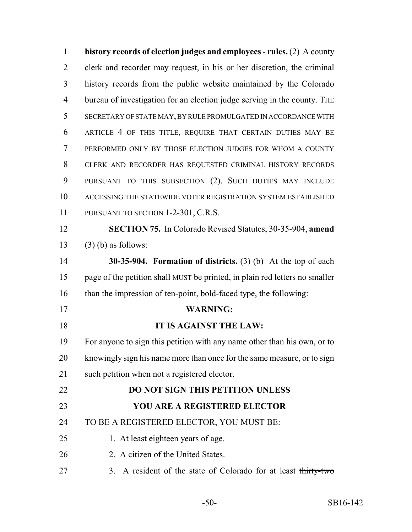**history records of election judges and employees - rules.** (2) A county clerk and recorder may request, in his or her discretion, the criminal history records from the public website maintained by the Colorado bureau of investigation for an election judge serving in the county. THE SECRETARY OF STATE MAY, BY RULE PROMULGATED IN ACCORDANCE WITH ARTICLE 4 OF THIS TITLE, REQUIRE THAT CERTAIN DUTIES MAY BE PERFORMED ONLY BY THOSE ELECTION JUDGES FOR WHOM A COUNTY CLERK AND RECORDER HAS REQUESTED CRIMINAL HISTORY RECORDS PURSUANT TO THIS SUBSECTION (2). SUCH DUTIES MAY INCLUDE ACCESSING THE STATEWIDE VOTER REGISTRATION SYSTEM ESTABLISHED 11 PURSUANT TO SECTION 1-2-301, C.R.S. **SECTION 75.** In Colorado Revised Statutes, 30-35-904, **amend** (3) (b) as follows: **30-35-904. Formation of districts.** (3) (b) At the top of each 15 page of the petition shall MUST be printed, in plain red letters no smaller 16 than the impression of ten-point, bold-faced type, the following: **WARNING: IT IS AGAINST THE LAW:** For anyone to sign this petition with any name other than his own, or to knowingly sign his name more than once for the same measure, or to sign such petition when not a registered elector. **DO NOT SIGN THIS PETITION UNLESS YOU ARE A REGISTERED ELECTOR** TO BE A REGISTERED ELECTOR, YOU MUST BE: 25 1. At least eighteen years of age. 26 2. A citizen of the United States. 27 3. A resident of the state of Colorado for at least thirty-two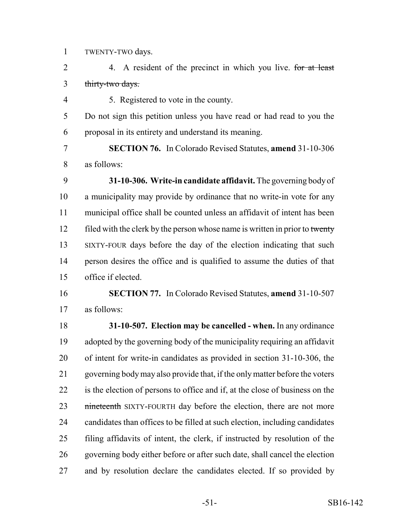TWENTY-TWO days.

2 4. A resident of the precinct in which you live. for at least thirty-two days.

5. Registered to vote in the county.

 Do not sign this petition unless you have read or had read to you the proposal in its entirety and understand its meaning.

 **SECTION 76.** In Colorado Revised Statutes, **amend** 31-10-306 as follows:

 **31-10-306. Write-in candidate affidavit.** The governing body of a municipality may provide by ordinance that no write-in vote for any municipal office shall be counted unless an affidavit of intent has been 12 filed with the clerk by the person whose name is written in prior to twenty SIXTY-FOUR days before the day of the election indicating that such person desires the office and is qualified to assume the duties of that office if elected.

 **SECTION 77.** In Colorado Revised Statutes, **amend** 31-10-507 as follows:

 **31-10-507. Election may be cancelled - when.** In any ordinance adopted by the governing body of the municipality requiring an affidavit of intent for write-in candidates as provided in section 31-10-306, the governing body may also provide that, if the only matter before the voters is the election of persons to office and if, at the close of business on the **nineteenth** SIXTY-FOURTH day before the election, there are not more candidates than offices to be filled at such election, including candidates filing affidavits of intent, the clerk, if instructed by resolution of the governing body either before or after such date, shall cancel the election and by resolution declare the candidates elected. If so provided by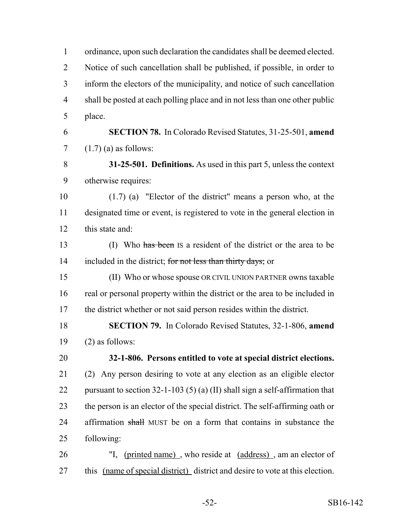ordinance, upon such declaration the candidates shall be deemed elected. Notice of such cancellation shall be published, if possible, in order to inform the electors of the municipality, and notice of such cancellation shall be posted at each polling place and in not less than one other public place. **SECTION 78.** In Colorado Revised Statutes, 31-25-501, **amend**  $7 \quad (1.7)$  (a) as follows: **31-25-501. Definitions.** As used in this part 5, unless the context otherwise requires: (1.7) (a) "Elector of the district" means a person who, at the designated time or event, is registered to vote in the general election in this state and: (I) Who has been IS a resident of the district or the area to be 14 included in the district; for not less than thirty days; or (II) Who or whose spouse OR CIVIL UNION PARTNER owns taxable real or personal property within the district or the area to be included in the district whether or not said person resides within the district. **SECTION 79.** In Colorado Revised Statutes, 32-1-806, **amend**  $(2)$  as follows: **32-1-806. Persons entitled to vote at special district elections.** (2) Any person desiring to vote at any election as an eligible elector pursuant to section 32-1-103 (5) (a) (II) shall sign a self-affirmation that the person is an elector of the special district. The self-affirming oath or 24 affirmation shall MUST be on a form that contains in substance the following: "I, (printed name) , who reside at (address) , am an elector of this (name of special district) district and desire to vote at this election.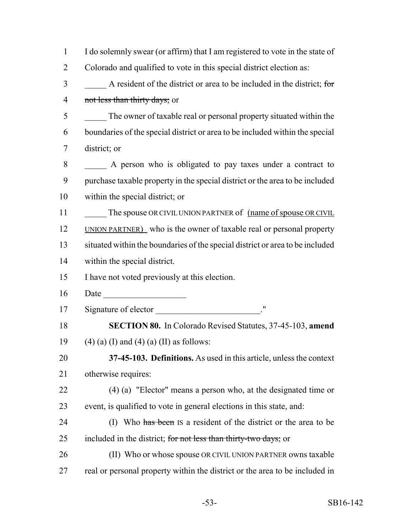| $\mathbf{1}$   | I do solemnly swear (or affirm) that I am registered to vote in the state of  |
|----------------|-------------------------------------------------------------------------------|
| $\overline{2}$ | Colorado and qualified to vote in this special district election as:          |
| 3              | A resident of the district or area to be included in the district; for        |
| $\overline{4}$ | not less than thirty days; or                                                 |
| 5              | The owner of taxable real or personal property situated within the            |
| 6              | boundaries of the special district or area to be included within the special  |
| 7              | district; or                                                                  |
| 8              | A person who is obligated to pay taxes under a contract to                    |
| 9              | purchase taxable property in the special district or the area to be included  |
| 10             | within the special district; or                                               |
| 11             | The spouse OR CIVIL UNION PARTNER of <u>(name of spouse OR CIVIL</u>          |
| 12             | UNION PARTNER) who is the owner of taxable real or personal property          |
| 13             | situated within the boundaries of the special district or area to be included |
| 14             | within the special district.                                                  |
| 15             | I have not voted previously at this election.                                 |
| 16             | Date                                                                          |
| 17             |                                                                               |
| 18             | <b>SECTION 80.</b> In Colorado Revised Statutes, 37-45-103, amend             |
| 19             | $(4)$ (a) (I) and (4) (a) (II) as follows:                                    |
| 20             | 37-45-103. Definitions. As used in this article, unless the context           |
| 21             | otherwise requires:                                                           |
| 22             | $(4)$ (a) "Elector" means a person who, at the designated time or             |
| 23             | event, is qualified to vote in general elections in this state, and:          |
| 24             | (I) Who has been IS a resident of the district or the area to be              |
| 25             | included in the district; for not less than thirty-two days; or               |
| 26             | (II) Who or whose spouse OR CIVIL UNION PARTNER owns taxable                  |
| 27             | real or personal property within the district or the area to be included in   |